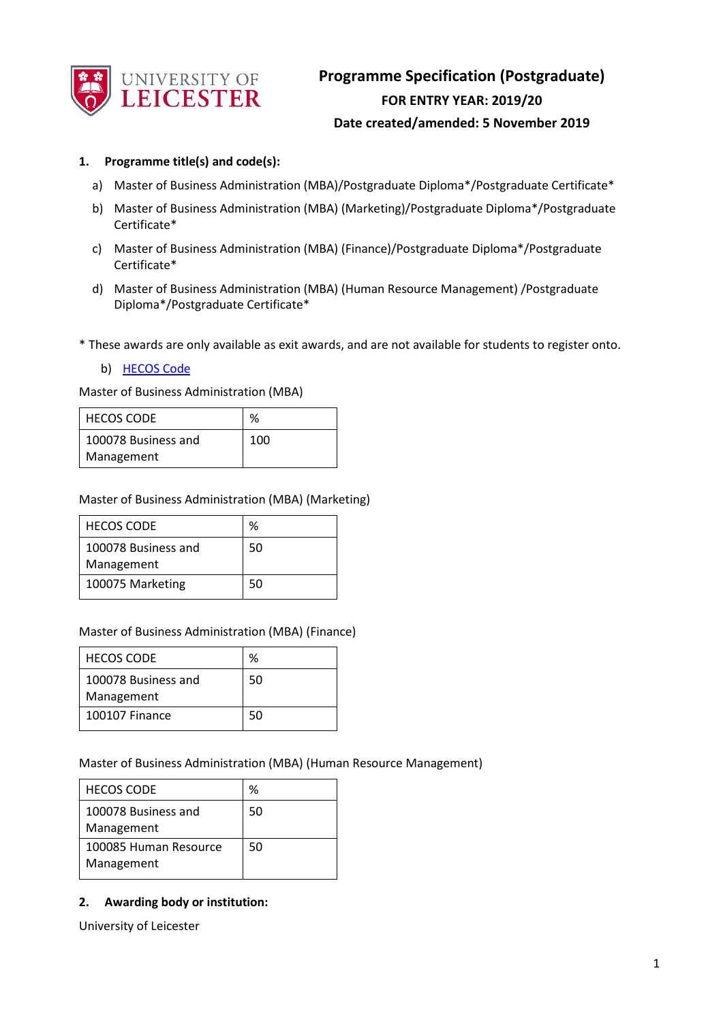

## **1. Programme title(s) and code(s):**

- a) Master of Business Administration (MBA)/Postgraduate Diploma\*/Postgraduate Certificate\*
- b) Master of Business Administration (MBA) (Marketing)/Postgraduate Diploma\*/Postgraduate Certificate\*
- c) Master of Business Administration (MBA) (Finance)/Postgraduate Diploma\*/Postgraduate Certificate\*
- d) Master of Business Administration (MBA) (Human Resource Management) /Postgraduate Diploma\*/Postgraduate Certificate\*

\* These awards are only available as exit awards, and are not available for students to register onto.

b) [HECOS Code](https://www.hesa.ac.uk/innovation/hecos)

Master of Business Administration (MBA)

| <b>HECOS CODE</b>   | %   |
|---------------------|-----|
| 100078 Business and | 100 |
| Management          |     |

Master of Business Administration (MBA) (Marketing)

| <b>HECOS CODE</b>   | ℅  |
|---------------------|----|
| 100078 Business and | 50 |
| Management          |    |
| 100075 Marketing    | 50 |

#### Master of Business Administration (MBA) (Finance)

| <b>HECOS CODE</b>                 | %  |
|-----------------------------------|----|
| 100078 Business and<br>Management | 50 |
| 100107 Finance                    | 50 |

Master of Business Administration (MBA) (Human Resource Management)

| <b>HECOS CODE</b>                   | %  |
|-------------------------------------|----|
| 100078 Business and<br>Management   | 50 |
| 100085 Human Resource<br>Management | 50 |

## **2. Awarding body or institution:**

University of Leicester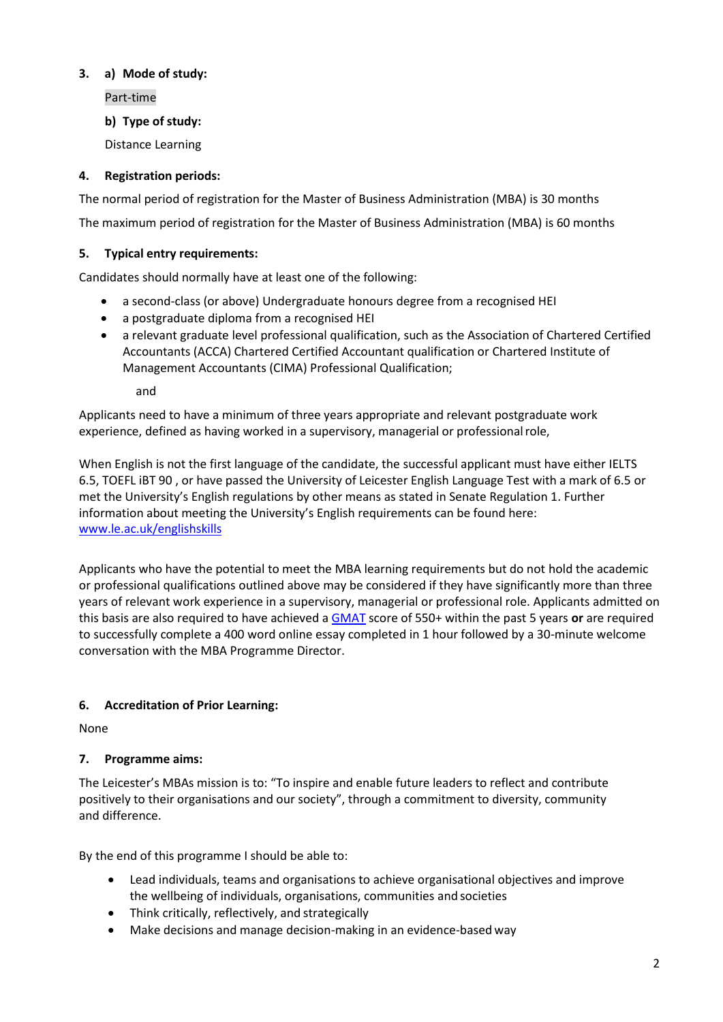# **3. a) Mode of study:**

Part-time

**b) Type of study:**

Distance Learning

# **4. Registration periods:**

The normal period of registration for the Master of Business Administration (MBA) is 30 months

The maximum period of registration for the Master of Business Administration (MBA) is 60 months

# **5. Typical entry requirements:**

Candidates should normally have at least one of the following:

- a second-class (or above) Undergraduate honours degree from a recognised HEI
- a postgraduate diploma from a recognised HEI
- a relevant graduate level professional qualification, such as the Association of Chartered Certified Accountants (ACCA) Chartered Certified Accountant qualification or Chartered Institute of Management Accountants (CIMA) Professional Qualification;

and

Applicants need to have a minimum of three years appropriate and relevant postgraduate work experience, defined as having worked in a supervisory, managerial or professionalrole,

When English is not the first language of the candidate, the successful applicant must have either IELTS 6.5, TOEFL iBT 90 , or have passed the University of Leicester English Language Test with a mark of 6.5 or met the University's English regulations by other means as stated in Senate Regulation 1. Further information about meeting the University's English requirements can be found here: [www.le.ac.uk/englishskills](http://www.le.ac.uk/englishskills)

Applicants who have the potential to meet the MBA learning requirements but do not hold the academic or professional qualifications outlined above may be considered if they have significantly more than three years of relevant work experience in a supervisory, managerial or professional role. Applicants admitted on this basis are also required to have achieved a [GMAT](http://www.mba.com/global) score of 550+ within the past 5 years **or** are required to successfully complete a 400 word online essay completed in 1 hour followed by a 30-minute welcome conversation with the MBA Programme Director.

# **6. Accreditation of Prior Learning:**

None

# **7. Programme aims:**

The Leicester's MBAs mission is to: "To inspire and enable future leaders to reflect and contribute positively to their organisations and our society", through a commitment to diversity, community and difference.

By the end of this programme I should be able to:

- Lead individuals, teams and organisations to achieve organisational objectives and improve the wellbeing of individuals, organisations, communities and societies
- Think critically, reflectively, and strategically
- Make decisions and manage decision-making in an evidence-based way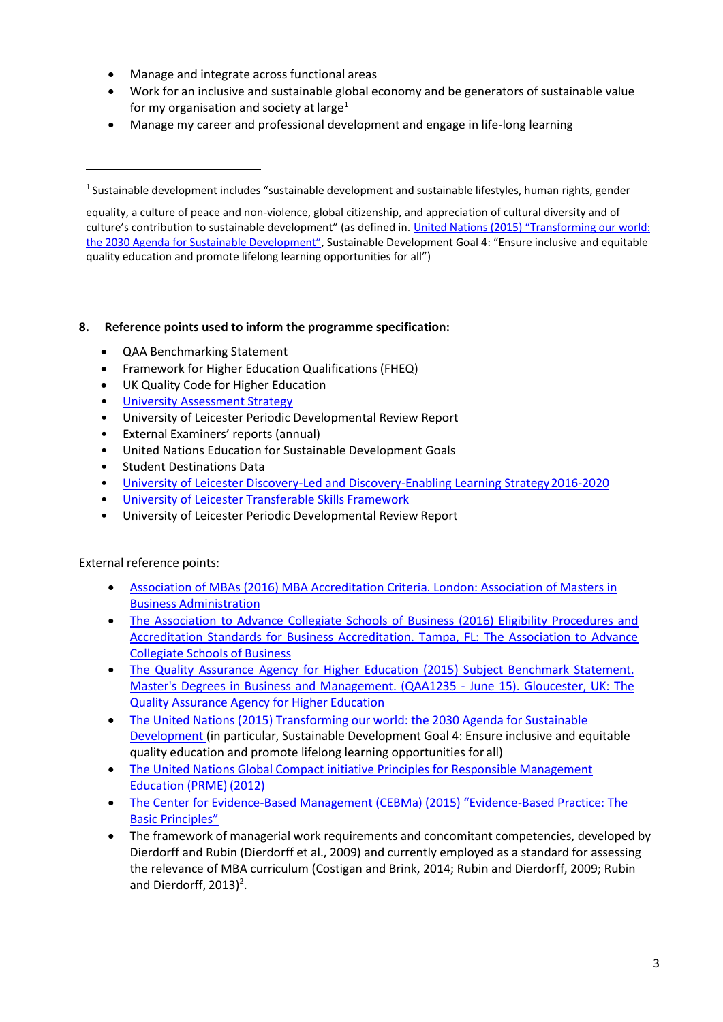- Manage and integrate across functional areas
- Work for an inclusive and sustainable global economy and be generators of sustainable value for my organisation and society at large<sup>1</sup>
- Manage my career and professional development and engage in life-long learning

## **8. Reference points used to inform the programme specification:**

- QAA Benchmarking Statement
- Framework for Higher Education Qualifications (FHEQ)
- UK Quality Code for Higher Education
- [University Assessment Strategy](https://www2.le.ac.uk/offices/sas2/quality/learnteach)
- University of Leicester Periodic Developmental Review Report
- External Examiners' reports (annual)
- United Nations Education for Sustainable Development Goals
- Student Destinations Data
- [University of Leicester Discovery-Led and Discovery-Enabling Learning Strategy2016-2020](http://www2.le.ac.uk/offices/sas2/quality/learnteach)
- [University of Leicester Transferable Skills Framework](https://www2.le.ac.uk/offices/careers-new/first-years/transferable-skills-framework)
- University of Leicester Periodic Developmental Review Report

## External reference points:

- [Association of MBAs \(2016\) MBA Accreditation Criteria. London: Association of Masters in](http://www.mbaworld.com/~/media/Files/Accreditation/MBA-criteria-for-accreditation.ashx)  Business [Administration](http://www.mbaworld.com/~/media/Files/Accreditation/MBA-criteria-for-accreditation.ashx)
- The Association to Advance Collegiate Schools of Business (2016) Eligibility Procedures and [Accreditation Standards for Business Accreditation. Tampa, FL: The Association to Advance](http://www.aacsb.edu/~/media/AACSB/Docs/Accreditation/Standards/2013-bus-standards-update.ashx)  [Collegiate Schools of](http://www.aacsb.edu/~/media/AACSB/Docs/Accreditation/Standards/2013-bus-standards-update.ashx) Business
- The Quality Assurance Agency for Higher Education (2015) Subject Benchmark Statement. [Master's Degrees in Business and Management. \(QAA1235 -](http://www.qaa.ac.uk/en/Publications/Documents/SBS-Business-and%20Management-15.pdf) June 15). Gloucester, UK: The [Quality Assurance Agency for Higher](http://www.qaa.ac.uk/en/Publications/Documents/SBS-Business-and%20Management-15.pdf) Education
- [The United Nations \(2015\) Transforming our world: the 2030 Agenda for Sustainable](https://sustainabledevelopment.un.org/post2015/transformingourworld)  [Development \(](https://sustainabledevelopment.un.org/post2015/transformingourworld)in particular, Sustainable Development Goal 4: Ensure inclusive and equitable quality education and promote lifelong learning opportunities for all)
- [The United Nations Global Compact initiative Principles for Responsible Management](https://www.unglobalcompact.org/docs/issues_doc/PRME/PRME-Info_2012.pdf)  [Education \(PRME\)](https://www.unglobalcompact.org/docs/issues_doc/PRME/PRME-Info_2012.pdf) (2012)
- The Center for Evidence-[Based Management \(CEBMa\) \(2015\) "Evidence](http://www.cebma.org/wp-content/uploads/Evidence-Based-Practice-The-Basic-Principles-vs-Dec-2015.pdf)-Based Practice: The [Basic Principles"](http://www.cebma.org/wp-content/uploads/Evidence-Based-Practice-The-Basic-Principles-vs-Dec-2015.pdf)
- The framework of managerial work requirements and concomitant competencies, developed by Dierdorff and Rubin (Dierdorff et al., 2009) and currently employed as a standard for assessing the relevance of MBA curriculum (Costigan and Brink, 2014; Rubin and Dierdorff, 2009; Rubin and Dierdorff, 2013)<sup>2</sup>.

<sup>&</sup>lt;sup>1</sup> Sustainable development includes "sustainable development and sustainable lifestyles, human rights, gender

equality, a culture of peace and non-violence, global citizenship, and appreciation of cultural diversity and of culture's contribution to sustainable development" (as defined in[. United Nations \(2015\) "Transforming our](https://sustainabledevelopment.un.org/post2015/transformingourworld) [world:](https://sustainabledevelopment.un.org/post2015/transformingourworld)  [the 2030 Agenda for Sustainable Devel](https://sustainabledevelopment.un.org/post2015/transformingourworld)opment", Sustainable Development Goal 4: "Ensure inclusive and equitable quality education and promote lifelong learning opportunities for all")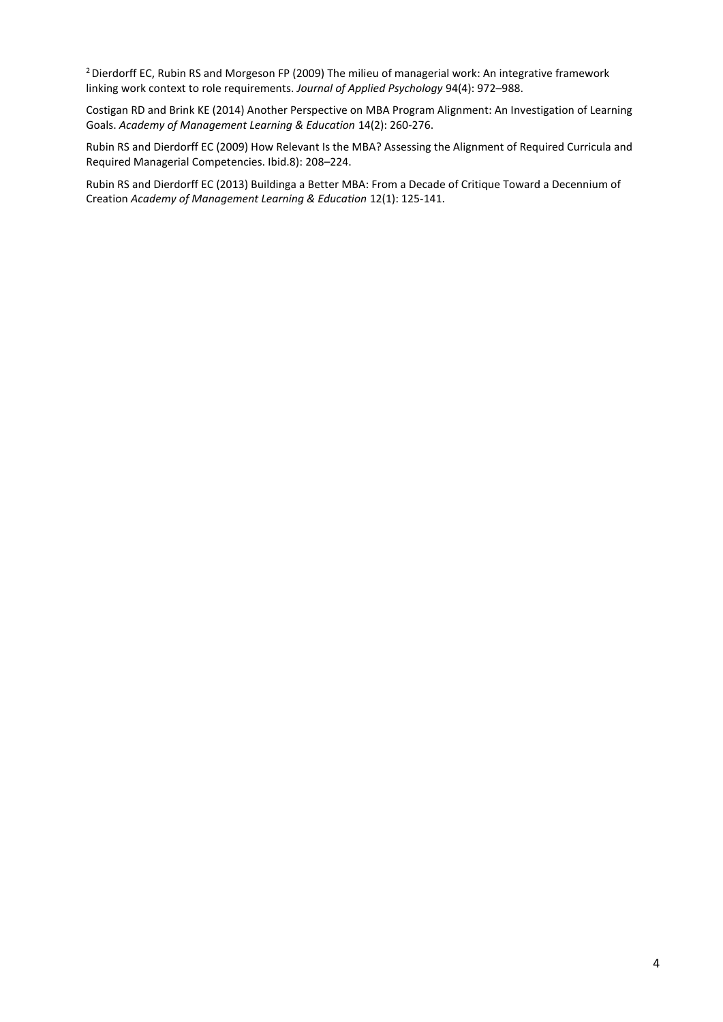<sup>2</sup> Dierdorff EC, Rubin RS and Morgeson FP (2009) The milieu of managerial work: An integrative framework linking work context to role requirements. *Journal of Applied Psychology* 94(4): 972–988.

Costigan RD and Brink KE (2014) Another Perspective on MBA Program Alignment: An Investigation of Learning Goals. *Academy of Management Learning & Education* 14(2): 260-276.

Rubin RS and Dierdorff EC (2009) How Relevant Is the MBA? Assessing the Alignment of Required Curricula and Required Managerial Competencies. Ibid.8): 208–224.

Rubin RS and Dierdorff EC (2013) Buildinga a Better MBA: From a Decade of Critique Toward a Decennium of Creation *Academy of Management Learning & Education* 12(1): 125-141.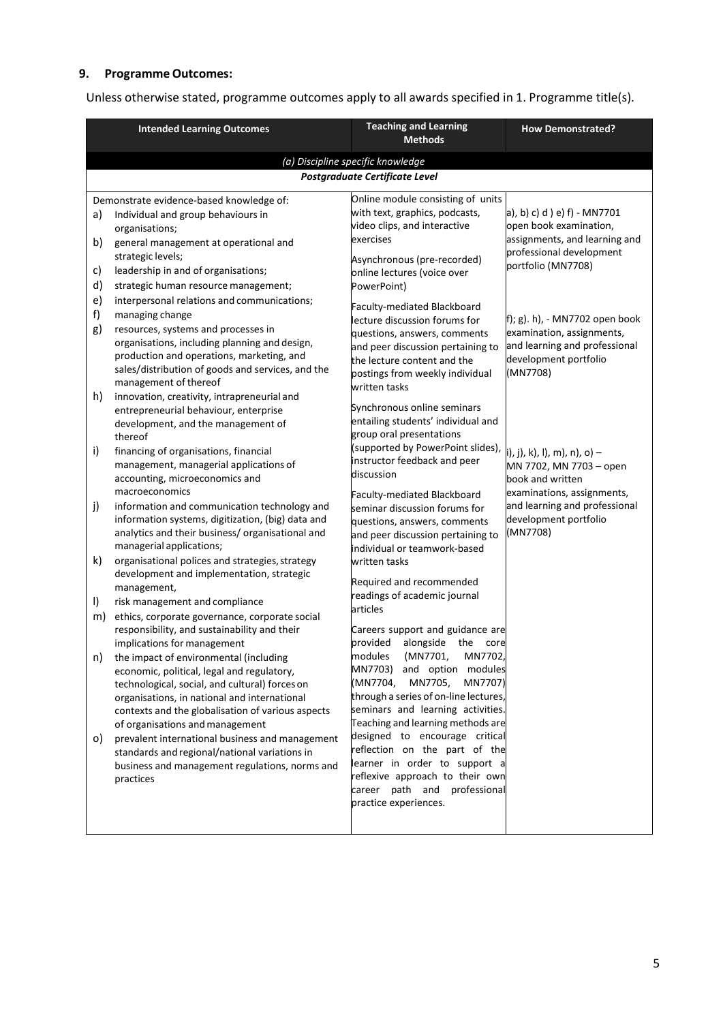# **9. Programme Outcomes:**

Unless otherwise stated, programme outcomes apply to all awards specified in 1. Programme title(s).

|                                   | <b>Intended Learning Outcomes</b>                                                                                                                                                                                                                                                                                | <b>Teaching and Learning</b><br><b>Methods</b>                                                                                                                                                                                                | <b>How Demonstrated?</b>                                                                                                                  |
|-----------------------------------|------------------------------------------------------------------------------------------------------------------------------------------------------------------------------------------------------------------------------------------------------------------------------------------------------------------|-----------------------------------------------------------------------------------------------------------------------------------------------------------------------------------------------------------------------------------------------|-------------------------------------------------------------------------------------------------------------------------------------------|
| (a) Discipline specific knowledge |                                                                                                                                                                                                                                                                                                                  |                                                                                                                                                                                                                                               |                                                                                                                                           |
|                                   |                                                                                                                                                                                                                                                                                                                  | Postgraduate Certificate Level                                                                                                                                                                                                                |                                                                                                                                           |
| a)<br>b)<br>c)<br>d)              | Demonstrate evidence-based knowledge of:<br>Individual and group behaviours in<br>organisations;<br>general management at operational and<br>strategic levels;<br>leadership in and of organisations;<br>strategic human resource management;                                                                    | Online module consisting of units<br>with text, graphics, podcasts,<br>video clips, and interactive<br>exercises<br>Asynchronous (pre-recorded)<br>online lectures (voice over<br>PowerPoint)                                                 | a), b) c) d ) e) f) - MN7701<br>open book examination,<br>assignments, and learning and<br>professional development<br>portfolio (MN7708) |
| e)<br>f)<br>g)                    | interpersonal relations and communications;<br>managing change<br>resources, systems and processes in<br>organisations, including planning and design,<br>production and operations, marketing, and<br>sales/distribution of goods and services, and the<br>management of thereof                                | Faculty-mediated Blackboard<br>lecture discussion forums for<br>questions, answers, comments<br>and peer discussion pertaining to<br>the lecture content and the<br>postings from weekly individual<br>written tasks                          | f); g). h), - MN7702 open book<br>examination, assignments,<br>and learning and professional<br>development portfolio<br>(MN7708)         |
| h)                                | innovation, creativity, intrapreneurial and<br>entrepreneurial behaviour, enterprise<br>development, and the management of<br>thereof                                                                                                                                                                            | Synchronous online seminars<br>entailing students' individual and<br>group oral presentations                                                                                                                                                 |                                                                                                                                           |
| i)                                | financing of organisations, financial<br>management, managerial applications of<br>accounting, microeconomics and<br>macroeconomics                                                                                                                                                                              | (supported by PowerPoint slides),<br>instructor feedback and peer<br>discussion<br>Faculty-mediated Blackboard                                                                                                                                | i), j), k), l), m), n), o) —<br>MN 7702, MN 7703 - open<br>book and written<br>examinations, assignments,                                 |
| j)                                | information and communication technology and<br>information systems, digitization, (big) data and<br>analytics and their business/ organisational and<br>managerial applications;                                                                                                                                | seminar discussion forums for<br>questions, answers, comments<br>and peer discussion pertaining to<br>individual or teamwork-based                                                                                                            | and learning and professional<br>development portfolio<br>(MN7708)                                                                        |
| k)                                | organisational polices and strategies, strategy<br>development and implementation, strategic<br>management,                                                                                                                                                                                                      | written tasks<br>Required and recommended<br>readings of academic journal                                                                                                                                                                     |                                                                                                                                           |
| I)<br>m)                          | risk management and compliance<br>ethics, corporate governance, corporate social<br>responsibility, and sustainability and their                                                                                                                                                                                 | articles<br>Careers support and guidance are                                                                                                                                                                                                  |                                                                                                                                           |
|                                   | implications for management<br>n) the impact of environmental (including<br>economic, political, legal and regulatory,<br>technological, social, and cultural) forces on<br>organisations, in national and international<br>contexts and the globalisation of various aspects<br>of organisations and management | provided<br>alongside the core<br>modules (MN7701, MN7702,<br>MN7703) and option modules<br>(MN7704,<br>MN7705,<br>MN7707)<br>through a series of on-line lectures,<br>seminars and learning activities.<br>Teaching and learning methods are |                                                                                                                                           |
| O)                                | prevalent international business and management<br>standards and regional/national variations in<br>business and management regulations, norms and<br>practices                                                                                                                                                  | designed to encourage critical<br>reflection on the part of the<br>learner in order to support a<br>reflexive approach to their own<br>career path and professional<br>practice experiences.                                                  |                                                                                                                                           |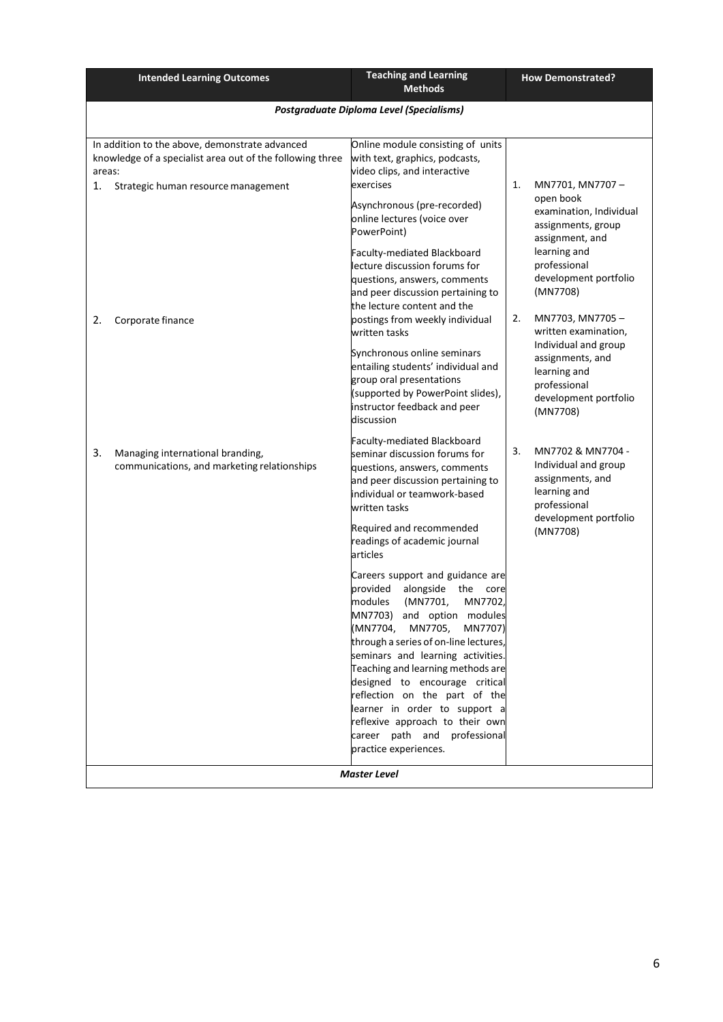| <b>Intended Learning Outcomes</b>                                                                                                                                  | <b>Teaching and Learning</b><br><b>Methods</b>                                                                                                                                                                                                                                                                                                                                                                                                         | <b>How Demonstrated?</b>                                                                                                                                                    |
|--------------------------------------------------------------------------------------------------------------------------------------------------------------------|--------------------------------------------------------------------------------------------------------------------------------------------------------------------------------------------------------------------------------------------------------------------------------------------------------------------------------------------------------------------------------------------------------------------------------------------------------|-----------------------------------------------------------------------------------------------------------------------------------------------------------------------------|
| Postgraduate Diploma Level (Specialisms)                                                                                                                           |                                                                                                                                                                                                                                                                                                                                                                                                                                                        |                                                                                                                                                                             |
| In addition to the above, demonstrate advanced<br>knowledge of a specialist area out of the following three<br>areas:<br>1.<br>Strategic human resource management | Online module consisting of units<br>with text, graphics, podcasts,<br>video clips, and interactive<br>exercises<br>Asynchronous (pre-recorded)<br>online lectures (voice over<br>PowerPoint)<br>Faculty-mediated Blackboard<br>lecture discussion forums for<br>questions, answers, comments<br>and peer discussion pertaining to                                                                                                                     | MN7701, MN7707-<br>1.<br>open book<br>examination, Individual<br>assignments, group<br>assignment, and<br>learning and<br>professional<br>development portfolio<br>(MN7708) |
| 2.<br>Corporate finance                                                                                                                                            | the lecture content and the<br>postings from weekly individual<br>written tasks<br>Synchronous online seminars<br>entailing students' individual and<br>group oral presentations<br>(supported by PowerPoint slides),<br>instructor feedback and peer<br>discussion                                                                                                                                                                                    | 2.<br>MN7703, MN7705-<br>written examination,<br>Individual and group<br>assignments, and<br>learning and<br>professional<br>development portfolio<br>(MN7708)              |
| 3.<br>Managing international branding,<br>communications, and marketing relationships                                                                              | Faculty-mediated Blackboard<br>seminar discussion forums for<br>questions, answers, comments<br>and peer discussion pertaining to<br>individual or teamwork-based<br>written tasks<br>Required and recommended<br>readings of academic journal<br>articles<br>Careers support and guidance are                                                                                                                                                         | MN7702 & MN7704 -<br>3.<br>Individual and group<br>assignments, and<br>learning and<br>professional<br>development portfolio<br>(MN7708)                                    |
|                                                                                                                                                                    | provided<br>alongside<br>the<br>core<br>modules<br>(MN7701,<br>MN7702,<br>MN7703) and option modules<br>(MN7704, MN7705,<br>MN7707)<br>through a series of on-line lectures,<br>seminars and learning activities.<br>Teaching and learning methods are<br>designed to encourage critical<br>reflection on the part of the<br>learner in order to support a<br>reflexive approach to their own<br>career path and professional<br>practice experiences. |                                                                                                                                                                             |
| <b>Master Level</b>                                                                                                                                                |                                                                                                                                                                                                                                                                                                                                                                                                                                                        |                                                                                                                                                                             |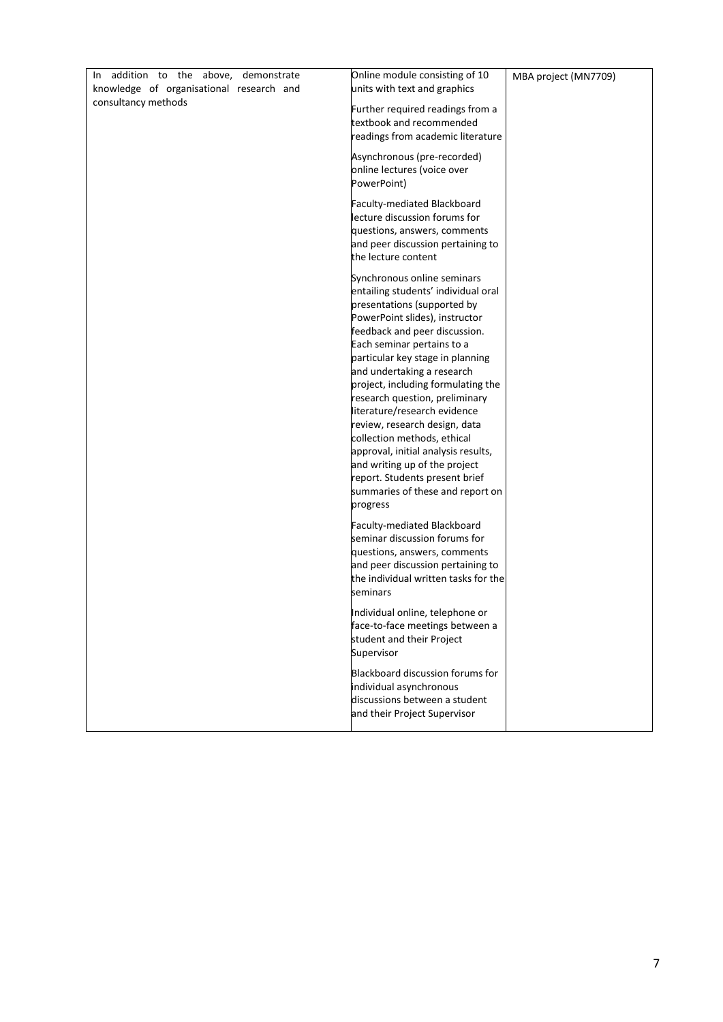| In addition to the above, demonstrate    | Online module consisting of 10                                     | MBA project (MN7709) |
|------------------------------------------|--------------------------------------------------------------------|----------------------|
| knowledge of organisational research and | units with text and graphics                                       |                      |
| consultancy methods                      |                                                                    |                      |
|                                          | Further required readings from a<br>textbook and recommended       |                      |
|                                          | readings from academic literature                                  |                      |
|                                          |                                                                    |                      |
|                                          | Asynchronous (pre-recorded)                                        |                      |
|                                          | online lectures (voice over                                        |                      |
|                                          | PowerPoint)                                                        |                      |
|                                          | Faculty-mediated Blackboard                                        |                      |
|                                          | lecture discussion forums for                                      |                      |
|                                          | questions, answers, comments                                       |                      |
|                                          | and peer discussion pertaining to                                  |                      |
|                                          | the lecture content                                                |                      |
|                                          | Synchronous online seminars                                        |                      |
|                                          | entailing students' individual oral                                |                      |
|                                          | presentations (supported by                                        |                      |
|                                          | PowerPoint slides), instructor                                     |                      |
|                                          | feedback and peer discussion.                                      |                      |
|                                          | Each seminar pertains to a<br>particular key stage in planning     |                      |
|                                          | and undertaking a research                                         |                      |
|                                          | project, including formulating the                                 |                      |
|                                          | research question, preliminary                                     |                      |
|                                          | literature/research evidence                                       |                      |
|                                          | review, research design, data                                      |                      |
|                                          | collection methods, ethical                                        |                      |
|                                          | approval, initial analysis results,                                |                      |
|                                          | and writing up of the project                                      |                      |
|                                          | report. Students present brief<br>summaries of these and report on |                      |
|                                          | progress                                                           |                      |
|                                          |                                                                    |                      |
|                                          | Faculty-mediated Blackboard                                        |                      |
|                                          | seminar discussion forums for                                      |                      |
|                                          | questions, answers, comments<br>and peer discussion pertaining to  |                      |
|                                          | the individual written tasks for the                               |                      |
|                                          | seminars                                                           |                      |
|                                          |                                                                    |                      |
|                                          | Individual online, telephone or                                    |                      |
|                                          | face-to-face meetings between a<br>student and their Project       |                      |
|                                          | Supervisor                                                         |                      |
|                                          |                                                                    |                      |
|                                          | Blackboard discussion forums for                                   |                      |
|                                          | individual asynchronous<br>discussions between a student           |                      |
|                                          | and their Project Supervisor                                       |                      |
|                                          |                                                                    |                      |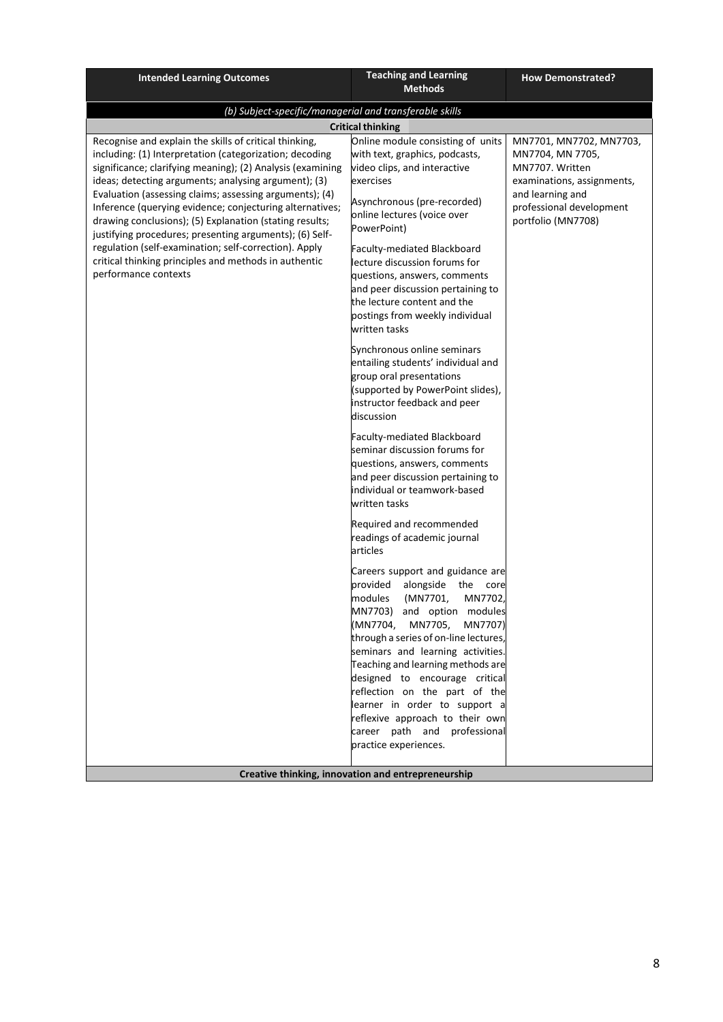| (b) Subject-specific/managerial and transferable skills<br><b>Critical thinking</b>                                                                                                                                                                                                                                                                                    |                                                                                                                                                                                                                                                                                                                                                                                                                                          |
|------------------------------------------------------------------------------------------------------------------------------------------------------------------------------------------------------------------------------------------------------------------------------------------------------------------------------------------------------------------------|------------------------------------------------------------------------------------------------------------------------------------------------------------------------------------------------------------------------------------------------------------------------------------------------------------------------------------------------------------------------------------------------------------------------------------------|
|                                                                                                                                                                                                                                                                                                                                                                        |                                                                                                                                                                                                                                                                                                                                                                                                                                          |
|                                                                                                                                                                                                                                                                                                                                                                        |                                                                                                                                                                                                                                                                                                                                                                                                                                          |
| with text, graphics, podcasts,<br>video clips, and interactive<br>exercises<br>Asynchronous (pre-recorded)<br>online lectures (voice over<br>PowerPoint)<br>Faculty-mediated Blackboard<br>lecture discussion forums for<br>questions, answers, comments<br>and peer discussion pertaining to<br>the lecture content and the<br>postings from weekly individual        | MN7701, MN7702, MN7703,<br>MN7704, MN 7705,<br>MN7707. Written<br>examinations, assignments,<br>and learning and<br>professional development<br>portfolio (MN7708)                                                                                                                                                                                                                                                                       |
| Synchronous online seminars<br>entailing students' individual and<br>group oral presentations<br>(supported by PowerPoint slides),<br>instructor feedback and peer<br>discussion<br>Faculty-mediated Blackboard<br>seminar discussion forums for<br>questions, answers, comments<br>and peer discussion pertaining to<br>individual or teamwork-based<br>written tasks |                                                                                                                                                                                                                                                                                                                                                                                                                                          |
| Required and recommended<br>readings of academic journal<br>articles<br>provided<br>(MN7701,<br>MN7702,<br>modules<br>through a series of on-line lectures,<br>seminars and learning activities.<br>practice experiences.                                                                                                                                              |                                                                                                                                                                                                                                                                                                                                                                                                                                          |
|                                                                                                                                                                                                                                                                                                                                                                        | Online module consisting of units<br>written tasks<br>Careers support and guidance are<br>alongside the core<br>MN7703) and option modules<br>(MN7704, MN7705, MN7707)<br>Teaching and learning methods are<br>designed to encourage critical<br>reflection on the part of the<br>learner in order to support a<br>reflexive approach to their own<br>career path and professional<br>Creative thinking, innovation and entrepreneurship |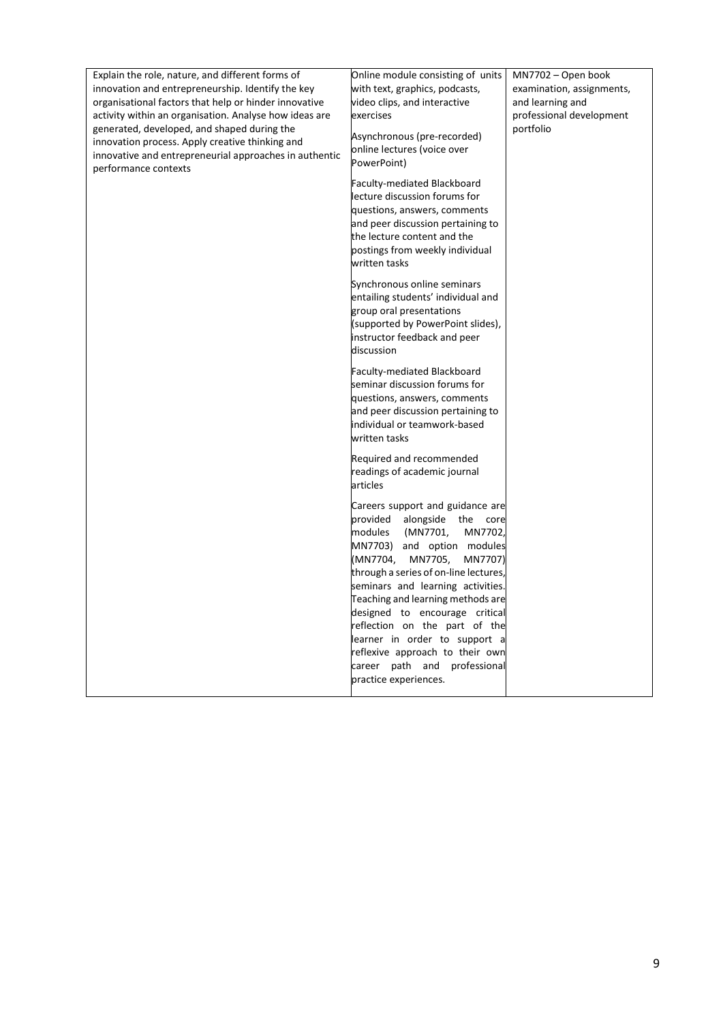| Explain the role, nature, and different forms of                                                                                                                                 | Online module consisting of units                                                                                                                                                                                                                                                                                                                                                                                                                                                       | MN7702 - Open book        |
|----------------------------------------------------------------------------------------------------------------------------------------------------------------------------------|-----------------------------------------------------------------------------------------------------------------------------------------------------------------------------------------------------------------------------------------------------------------------------------------------------------------------------------------------------------------------------------------------------------------------------------------------------------------------------------------|---------------------------|
| innovation and entrepreneurship. Identify the key                                                                                                                                | with text, graphics, podcasts,                                                                                                                                                                                                                                                                                                                                                                                                                                                          | examination, assignments, |
| organisational factors that help or hinder innovative                                                                                                                            | video clips, and interactive                                                                                                                                                                                                                                                                                                                                                                                                                                                            | and learning and          |
| activity within an organisation. Analyse how ideas are                                                                                                                           | exercises                                                                                                                                                                                                                                                                                                                                                                                                                                                                               | professional development  |
| generated, developed, and shaped during the<br>innovation process. Apply creative thinking and<br>innovative and entrepreneurial approaches in authentic<br>performance contexts | Asynchronous (pre-recorded)<br>online lectures (voice over<br>PowerPoint)                                                                                                                                                                                                                                                                                                                                                                                                               | portfolio                 |
|                                                                                                                                                                                  | Faculty-mediated Blackboard<br>lecture discussion forums for<br>questions, answers, comments<br>and peer discussion pertaining to<br>the lecture content and the<br>postings from weekly individual<br>written tasks                                                                                                                                                                                                                                                                    |                           |
|                                                                                                                                                                                  | Synchronous online seminars<br>entailing students' individual and<br>group oral presentations<br>(supported by PowerPoint slides),<br>instructor feedback and peer<br>discussion                                                                                                                                                                                                                                                                                                        |                           |
|                                                                                                                                                                                  | Faculty-mediated Blackboard<br>seminar discussion forums for<br>questions, answers, comments<br>and peer discussion pertaining to<br>individual or teamwork-based<br>written tasks                                                                                                                                                                                                                                                                                                      |                           |
|                                                                                                                                                                                  | Required and recommended<br>readings of academic journal<br>articles                                                                                                                                                                                                                                                                                                                                                                                                                    |                           |
|                                                                                                                                                                                  | Careers support and guidance are<br>provided alongside the<br>core<br>(MN7701,<br>modules<br>MN7702,<br>MN7703) and option modules<br>(MN7704,<br>MN7705,<br>MN7707)<br>through a series of on-line lectures,<br>seminars and learning activities.<br>Teaching and learning methods are<br>designed to encourage critical<br>reflection on the part of the<br>learner in order to support a<br>reflexive approach to their own<br>career path and professional<br>practice experiences. |                           |
|                                                                                                                                                                                  |                                                                                                                                                                                                                                                                                                                                                                                                                                                                                         |                           |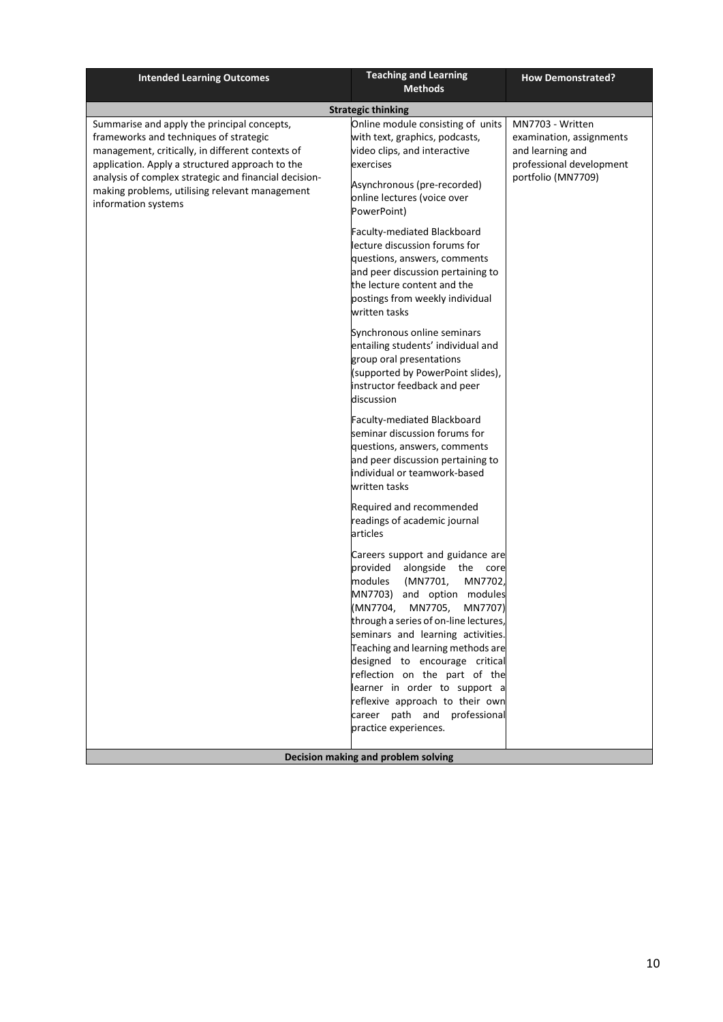| <b>Intended Learning Outcomes</b>                                                                                                                                                                                                                                                                                              | <b>Teaching and Learning</b><br><b>Methods</b>                                                                                                                                                                                                                                                                                                                                                                                                                                             | <b>How Demonstrated?</b>                                                                                           |
|--------------------------------------------------------------------------------------------------------------------------------------------------------------------------------------------------------------------------------------------------------------------------------------------------------------------------------|--------------------------------------------------------------------------------------------------------------------------------------------------------------------------------------------------------------------------------------------------------------------------------------------------------------------------------------------------------------------------------------------------------------------------------------------------------------------------------------------|--------------------------------------------------------------------------------------------------------------------|
|                                                                                                                                                                                                                                                                                                                                | <b>Strategic thinking</b>                                                                                                                                                                                                                                                                                                                                                                                                                                                                  |                                                                                                                    |
| Summarise and apply the principal concepts,<br>frameworks and techniques of strategic<br>management, critically, in different contexts of<br>application. Apply a structured approach to the<br>analysis of complex strategic and financial decision-<br>making problems, utilising relevant management<br>information systems | Online module consisting of units<br>with text, graphics, podcasts,<br>video clips, and interactive<br>exercises<br>Asynchronous (pre-recorded)<br>online lectures (voice over<br>PowerPoint)                                                                                                                                                                                                                                                                                              | MN7703 - Written<br>examination, assignments<br>and learning and<br>professional development<br>portfolio (MN7709) |
|                                                                                                                                                                                                                                                                                                                                | Faculty-mediated Blackboard<br>lecture discussion forums for<br>questions, answers, comments<br>and peer discussion pertaining to<br>the lecture content and the<br>postings from weekly individual<br>written tasks                                                                                                                                                                                                                                                                       |                                                                                                                    |
|                                                                                                                                                                                                                                                                                                                                | Synchronous online seminars<br>entailing students' individual and<br>group oral presentations<br>(supported by PowerPoint slides),<br>instructor feedback and peer<br>discussion                                                                                                                                                                                                                                                                                                           |                                                                                                                    |
|                                                                                                                                                                                                                                                                                                                                | Faculty-mediated Blackboard<br>seminar discussion forums for<br>questions, answers, comments<br>and peer discussion pertaining to<br>individual or teamwork-based<br>written tasks                                                                                                                                                                                                                                                                                                         |                                                                                                                    |
|                                                                                                                                                                                                                                                                                                                                | Required and recommended<br>readings of academic journal<br>articles                                                                                                                                                                                                                                                                                                                                                                                                                       |                                                                                                                    |
|                                                                                                                                                                                                                                                                                                                                | Careers support and guidance are<br>provided<br>alongside the core<br>MN7702,<br>modules<br>(MN7701,<br>MN7703)<br>and option modules<br>(MN7704,<br>MN7705,<br>MN7707)<br>through a series of on-line lectures,<br>seminars and learning activities.<br>Teaching and learning methods are<br>designed to encourage critical<br>reflection on the part of the<br>learner in order to support a<br>reflexive approach to their own<br>career path and professional<br>practice experiences. |                                                                                                                    |
|                                                                                                                                                                                                                                                                                                                                | Decision making and problem solving                                                                                                                                                                                                                                                                                                                                                                                                                                                        |                                                                                                                    |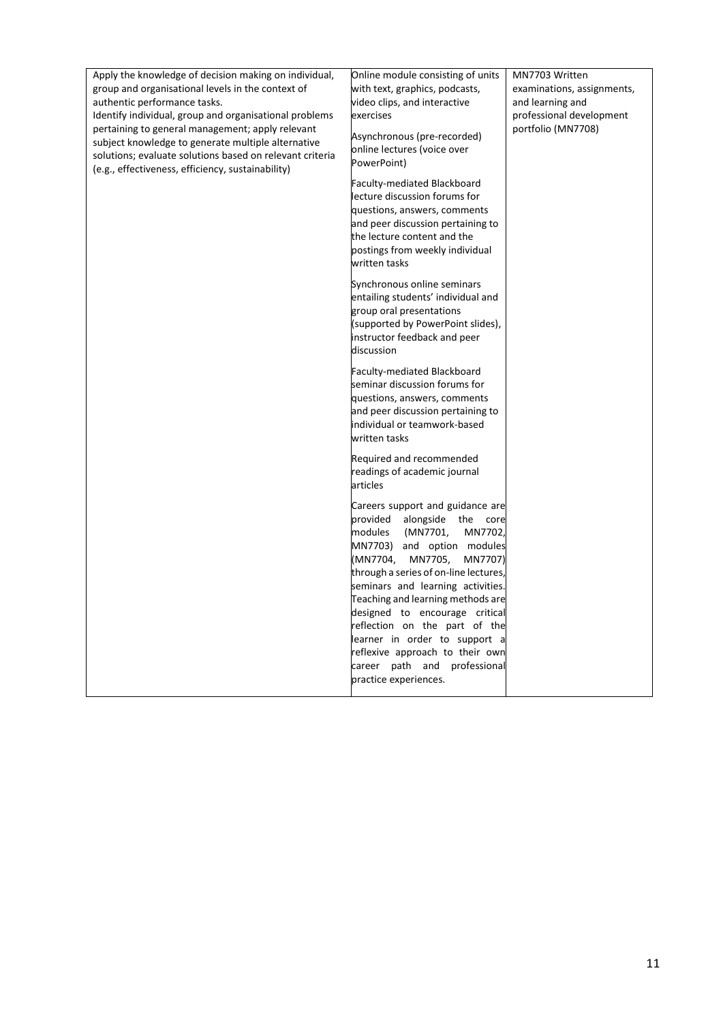| Apply the knowledge of decision making on individual,                             | Online module consisting of units                                   | MN7703 Written                                 |
|-----------------------------------------------------------------------------------|---------------------------------------------------------------------|------------------------------------------------|
| group and organisational levels in the context of<br>authentic performance tasks. | with text, graphics, podcasts,<br>video clips, and interactive      | examinations, assignments,<br>and learning and |
| Identify individual, group and organisational problems                            | exercises                                                           | professional development                       |
| pertaining to general management; apply relevant                                  |                                                                     | portfolio (MN7708)                             |
| subject knowledge to generate multiple alternative                                | Asynchronous (pre-recorded)                                         |                                                |
| solutions; evaluate solutions based on relevant criteria                          | online lectures (voice over<br>PowerPoint)                          |                                                |
| (e.g., effectiveness, efficiency, sustainability)                                 |                                                                     |                                                |
|                                                                                   | Faculty-mediated Blackboard<br>lecture discussion forums for        |                                                |
|                                                                                   | questions, answers, comments                                        |                                                |
|                                                                                   | and peer discussion pertaining to                                   |                                                |
|                                                                                   | the lecture content and the                                         |                                                |
|                                                                                   | postings from weekly individual                                     |                                                |
|                                                                                   | written tasks                                                       |                                                |
|                                                                                   | Synchronous online seminars                                         |                                                |
|                                                                                   | entailing students' individual and                                  |                                                |
|                                                                                   | group oral presentations<br>(supported by PowerPoint slides),       |                                                |
|                                                                                   | instructor feedback and peer                                        |                                                |
|                                                                                   | discussion                                                          |                                                |
|                                                                                   | Faculty-mediated Blackboard                                         |                                                |
|                                                                                   | seminar discussion forums for                                       |                                                |
|                                                                                   | questions, answers, comments                                        |                                                |
|                                                                                   | and peer discussion pertaining to                                   |                                                |
|                                                                                   | individual or teamwork-based<br>written tasks                       |                                                |
|                                                                                   |                                                                     |                                                |
|                                                                                   | Required and recommended                                            |                                                |
|                                                                                   | readings of academic journal<br>articles                            |                                                |
|                                                                                   |                                                                     |                                                |
|                                                                                   | Careers support and guidance are<br>core                            |                                                |
|                                                                                   | provided alongside the<br>modules<br>(MN7701,<br>MN7702,            |                                                |
|                                                                                   | MN7703) and option modules                                          |                                                |
|                                                                                   | (MN7704,<br>MN7705,<br>MN7707)                                      |                                                |
|                                                                                   | through a series of on-line lectures,                               |                                                |
|                                                                                   | seminars and learning activities.                                   |                                                |
|                                                                                   | Teaching and learning methods are<br>designed to encourage critical |                                                |
|                                                                                   | reflection on the part of the                                       |                                                |
|                                                                                   | learner in order to support a                                       |                                                |
|                                                                                   | reflexive approach to their own                                     |                                                |
|                                                                                   | career path and professional                                        |                                                |
|                                                                                   | practice experiences.                                               |                                                |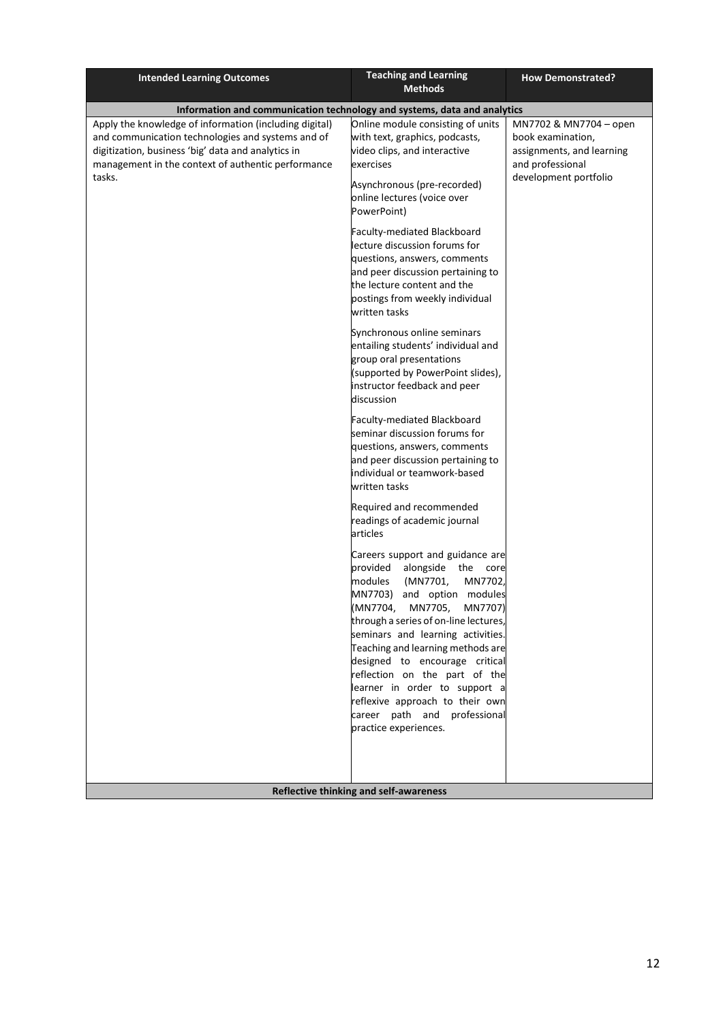| <b>Intended Learning Outcomes</b>                                                                                                                                       | <b>Teaching and Learning</b><br><b>Methods</b>                                                                                                                                                                                                                                                                                                                                                                                                                                             | <b>How Demonstrated?</b>                                                                    |
|-------------------------------------------------------------------------------------------------------------------------------------------------------------------------|--------------------------------------------------------------------------------------------------------------------------------------------------------------------------------------------------------------------------------------------------------------------------------------------------------------------------------------------------------------------------------------------------------------------------------------------------------------------------------------------|---------------------------------------------------------------------------------------------|
| Information and communication technology and systems, data and analytics                                                                                                |                                                                                                                                                                                                                                                                                                                                                                                                                                                                                            |                                                                                             |
| Apply the knowledge of information (including digital)                                                                                                                  | Online module consisting of units                                                                                                                                                                                                                                                                                                                                                                                                                                                          | MN7702 & MN7704 - open                                                                      |
| and communication technologies and systems and of<br>digitization, business 'big' data and analytics in<br>management in the context of authentic performance<br>tasks. | with text, graphics, podcasts,<br>video clips, and interactive<br>exercises                                                                                                                                                                                                                                                                                                                                                                                                                | book examination,<br>assignments, and learning<br>and professional<br>development portfolio |
|                                                                                                                                                                         | Asynchronous (pre-recorded)<br>online lectures (voice over<br>PowerPoint)                                                                                                                                                                                                                                                                                                                                                                                                                  |                                                                                             |
|                                                                                                                                                                         | Faculty-mediated Blackboard<br>lecture discussion forums for                                                                                                                                                                                                                                                                                                                                                                                                                               |                                                                                             |
|                                                                                                                                                                         | questions, answers, comments<br>and peer discussion pertaining to<br>the lecture content and the<br>postings from weekly individual<br>written tasks                                                                                                                                                                                                                                                                                                                                       |                                                                                             |
|                                                                                                                                                                         | Synchronous online seminars<br>entailing students' individual and<br>group oral presentations<br>(supported by PowerPoint slides),<br>instructor feedback and peer<br>discussion                                                                                                                                                                                                                                                                                                           |                                                                                             |
|                                                                                                                                                                         | Faculty-mediated Blackboard<br>seminar discussion forums for<br>questions, answers, comments<br>and peer discussion pertaining to<br>individual or teamwork-based<br>written tasks                                                                                                                                                                                                                                                                                                         |                                                                                             |
|                                                                                                                                                                         | Required and recommended<br>readings of academic journal<br>articles                                                                                                                                                                                                                                                                                                                                                                                                                       |                                                                                             |
|                                                                                                                                                                         | Careers support and guidance are<br>provided<br>alongside the core<br>modules<br>(MN7701,<br>MN7702,<br>MN7703)<br>and option modules<br>(MN7704,<br>MN7705,<br>MN7707)<br>through a series of on-line lectures,<br>seminars and learning activities.<br>Teaching and learning methods are<br>designed to encourage critical<br>reflection on the part of the<br>learner in order to support a<br>reflexive approach to their own<br>career path and professional<br>practice experiences. |                                                                                             |
|                                                                                                                                                                         | Reflective thinking and self-awareness                                                                                                                                                                                                                                                                                                                                                                                                                                                     |                                                                                             |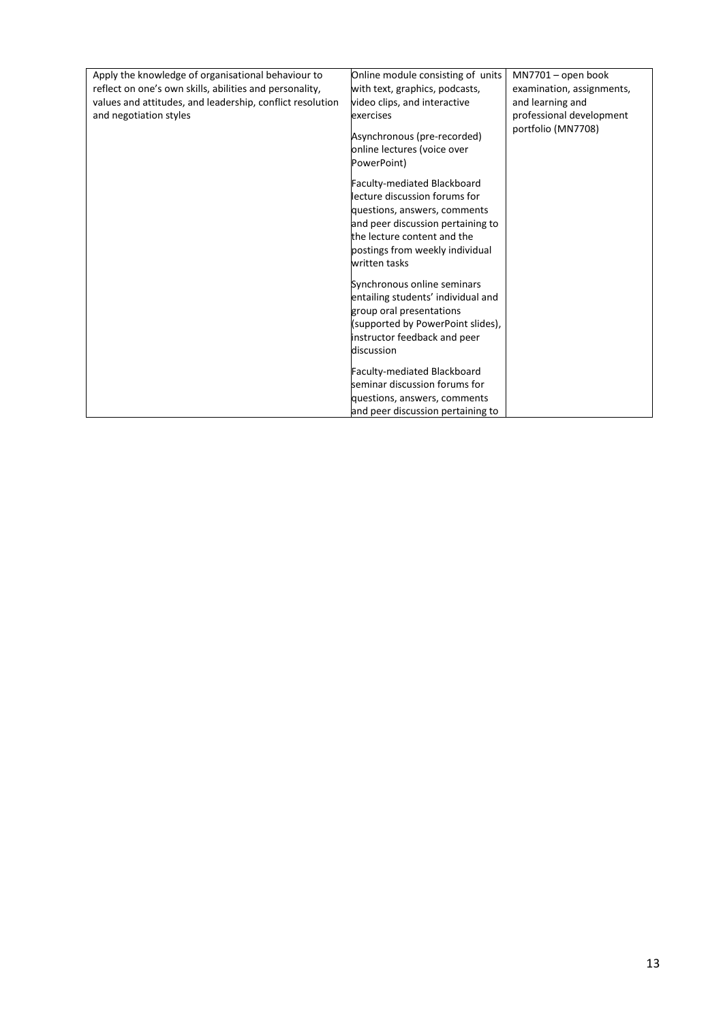| Apply the knowledge of organisational behaviour to        | Online module consisting of units                                                                                                                                                                                    | MN7701 - open book        |
|-----------------------------------------------------------|----------------------------------------------------------------------------------------------------------------------------------------------------------------------------------------------------------------------|---------------------------|
| reflect on one's own skills, abilities and personality,   | with text, graphics, podcasts,                                                                                                                                                                                       | examination, assignments, |
| values and attitudes, and leadership, conflict resolution | video clips, and interactive                                                                                                                                                                                         | and learning and          |
| and negotiation styles                                    | exercises                                                                                                                                                                                                            | professional development  |
|                                                           | Asynchronous (pre-recorded)<br>online lectures (voice over                                                                                                                                                           | portfolio (MN7708)        |
|                                                           | PowerPoint)                                                                                                                                                                                                          |                           |
|                                                           | Faculty-mediated Blackboard<br>lecture discussion forums for<br>questions, answers, comments<br>and peer discussion pertaining to<br>the lecture content and the<br>postings from weekly individual<br>written tasks |                           |
|                                                           | Synchronous online seminars<br>entailing students' individual and<br>group oral presentations<br>(supported by PowerPoint slides),<br>instructor feedback and peer<br>discussion                                     |                           |
|                                                           | Faculty-mediated Blackboard<br>seminar discussion forums for<br>questions, answers, comments<br>and peer discussion pertaining to                                                                                    |                           |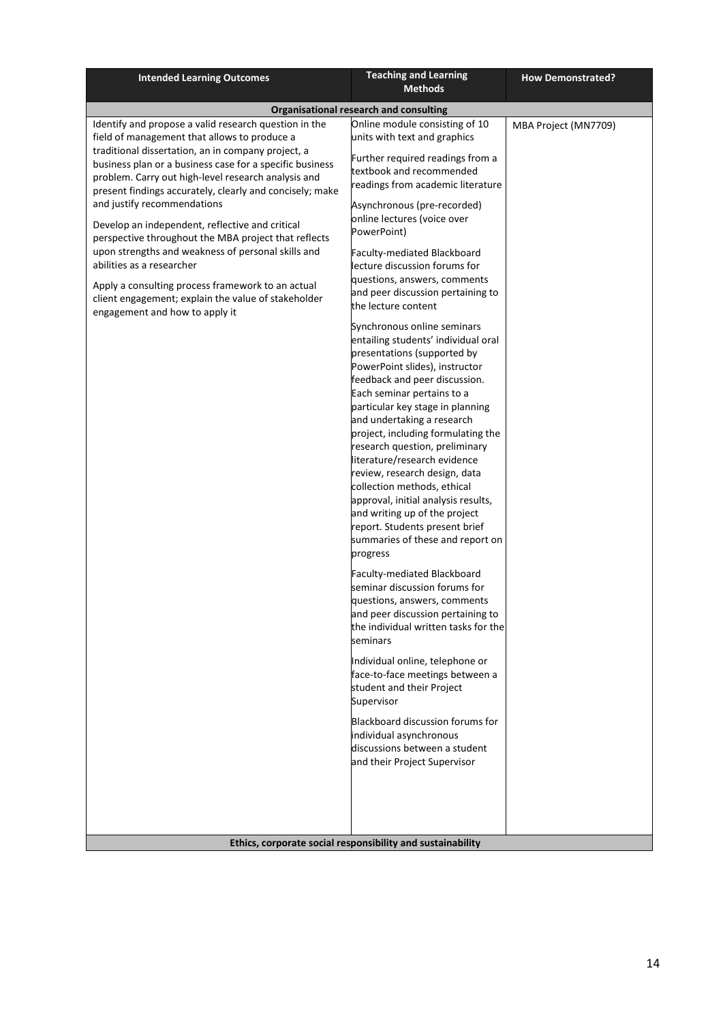| <b>Intended Learning Outcomes</b>                                                                                                                                                                                                                                | <b>Teaching and Learning</b><br><b>Methods</b>                                                                                                                                                                                                                                                                                                                                                                                                                                                                                                                                                                                                                                                         | <b>How Demonstrated?</b> |
|------------------------------------------------------------------------------------------------------------------------------------------------------------------------------------------------------------------------------------------------------------------|--------------------------------------------------------------------------------------------------------------------------------------------------------------------------------------------------------------------------------------------------------------------------------------------------------------------------------------------------------------------------------------------------------------------------------------------------------------------------------------------------------------------------------------------------------------------------------------------------------------------------------------------------------------------------------------------------------|--------------------------|
|                                                                                                                                                                                                                                                                  | Organisational research and consulting                                                                                                                                                                                                                                                                                                                                                                                                                                                                                                                                                                                                                                                                 |                          |
| Identify and propose a valid research question in the<br>field of management that allows to produce a                                                                                                                                                            | Online module consisting of 10<br>units with text and graphics                                                                                                                                                                                                                                                                                                                                                                                                                                                                                                                                                                                                                                         | MBA Project (MN7709)     |
| traditional dissertation, an in company project, a<br>business plan or a business case for a specific business<br>problem. Carry out high-level research analysis and<br>present findings accurately, clearly and concisely; make<br>and justify recommendations | Further required readings from a<br>textbook and recommended<br>readings from academic literature<br>Asynchronous (pre-recorded)                                                                                                                                                                                                                                                                                                                                                                                                                                                                                                                                                                       |                          |
| Develop an independent, reflective and critical<br>perspective throughout the MBA project that reflects<br>upon strengths and weakness of personal skills and<br>abilities as a researcher                                                                       | online lectures (voice over<br>PowerPoint)<br>Faculty-mediated Blackboard<br>lecture discussion forums for                                                                                                                                                                                                                                                                                                                                                                                                                                                                                                                                                                                             |                          |
| Apply a consulting process framework to an actual<br>client engagement; explain the value of stakeholder<br>engagement and how to apply it                                                                                                                       | questions, answers, comments<br>and peer discussion pertaining to<br>the lecture content                                                                                                                                                                                                                                                                                                                                                                                                                                                                                                                                                                                                               |                          |
|                                                                                                                                                                                                                                                                  | Synchronous online seminars<br>entailing students' individual oral<br>presentations (supported by<br>PowerPoint slides), instructor<br>feedback and peer discussion.<br>Each seminar pertains to a<br>particular key stage in planning<br>and undertaking a research<br>project, including formulating the<br>research question, preliminary<br>literature/research evidence<br>review, research design, data<br>collection methods, ethical<br>approval, initial analysis results,<br>and writing up of the project<br>report. Students present brief<br>summaries of these and report on<br>progress<br>Faculty-mediated Blackboard<br>seminar discussion forums for<br>questions, answers, comments |                          |
|                                                                                                                                                                                                                                                                  | and peer discussion pertaining to<br>the individual written tasks for the<br>seminars<br>Individual online, telephone or<br>face-to-face meetings between a                                                                                                                                                                                                                                                                                                                                                                                                                                                                                                                                            |                          |
|                                                                                                                                                                                                                                                                  | student and their Project<br>Supervisor<br>Blackboard discussion forums for                                                                                                                                                                                                                                                                                                                                                                                                                                                                                                                                                                                                                            |                          |
|                                                                                                                                                                                                                                                                  | individual asynchronous<br>discussions between a student<br>and their Project Supervisor                                                                                                                                                                                                                                                                                                                                                                                                                                                                                                                                                                                                               |                          |
|                                                                                                                                                                                                                                                                  | Ethics, corporate social responsibility and sustainability                                                                                                                                                                                                                                                                                                                                                                                                                                                                                                                                                                                                                                             |                          |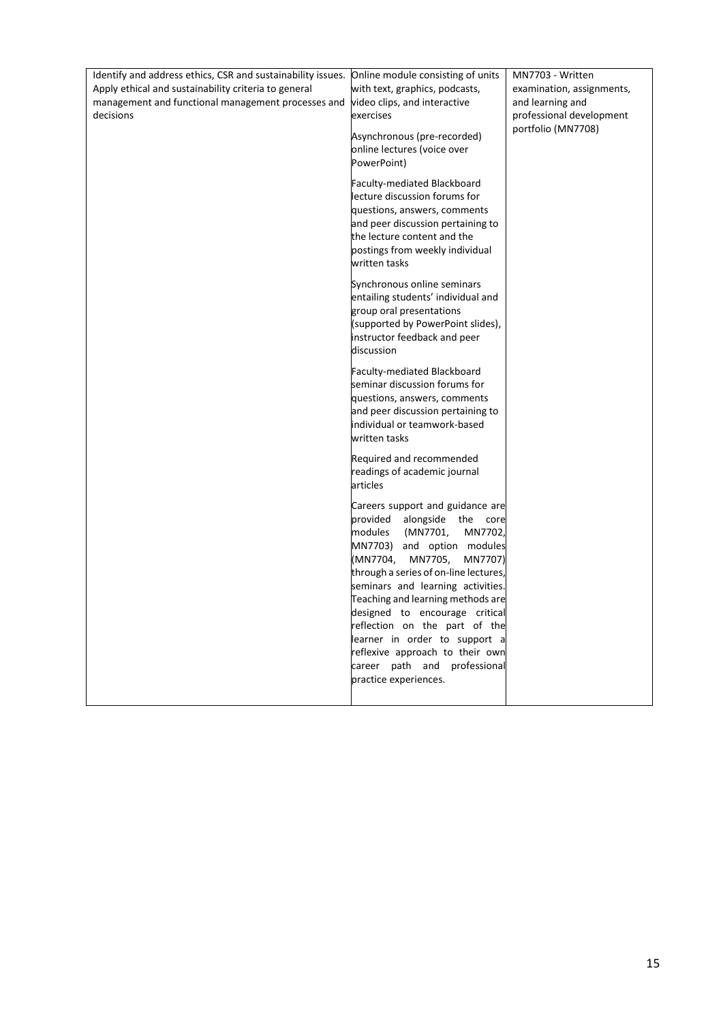| Identify and address ethics, CSR and sustainability issues. | Online module consisting of units     | MN7703 - Written          |
|-------------------------------------------------------------|---------------------------------------|---------------------------|
| Apply ethical and sustainability criteria to general        | with text, graphics, podcasts,        | examination, assignments, |
| management and functional management processes and          | video clips, and interactive          | and learning and          |
| decisions                                                   | exercises                             | professional development  |
|                                                             | Asynchronous (pre-recorded)           | portfolio (MN7708)        |
|                                                             | online lectures (voice over           |                           |
|                                                             | PowerPoint)                           |                           |
|                                                             | Faculty-mediated Blackboard           |                           |
|                                                             | lecture discussion forums for         |                           |
|                                                             | questions, answers, comments          |                           |
|                                                             | and peer discussion pertaining to     |                           |
|                                                             | the lecture content and the           |                           |
|                                                             | postings from weekly individual       |                           |
|                                                             | written tasks                         |                           |
|                                                             | Synchronous online seminars           |                           |
|                                                             | entailing students' individual and    |                           |
|                                                             | group oral presentations              |                           |
|                                                             | (supported by PowerPoint slides),     |                           |
|                                                             | instructor feedback and peer          |                           |
|                                                             | discussion                            |                           |
|                                                             | Faculty-mediated Blackboard           |                           |
|                                                             | seminar discussion forums for         |                           |
|                                                             | questions, answers, comments          |                           |
|                                                             | and peer discussion pertaining to     |                           |
|                                                             | individual or teamwork-based          |                           |
|                                                             | written tasks                         |                           |
|                                                             | Required and recommended              |                           |
|                                                             | readings of academic journal          |                           |
|                                                             | articles                              |                           |
|                                                             | Careers support and guidance are      |                           |
|                                                             | provided<br>alongside the core        |                           |
|                                                             | (MN7701,<br>modules<br>MN7702,        |                           |
|                                                             | MN7703)<br>and option modules         |                           |
|                                                             | (MN7704,<br>MN7705,<br>MN7707)        |                           |
|                                                             | through a series of on-line lectures, |                           |
|                                                             | seminars and learning activities.     |                           |
|                                                             | Teaching and learning methods are     |                           |
|                                                             | designed to encourage critical        |                           |
|                                                             | reflection on the part of the         |                           |
|                                                             | learner in order to support a         |                           |
|                                                             | reflexive approach to their own       |                           |
|                                                             | career path and professional          |                           |
|                                                             | practice experiences.                 |                           |
|                                                             |                                       |                           |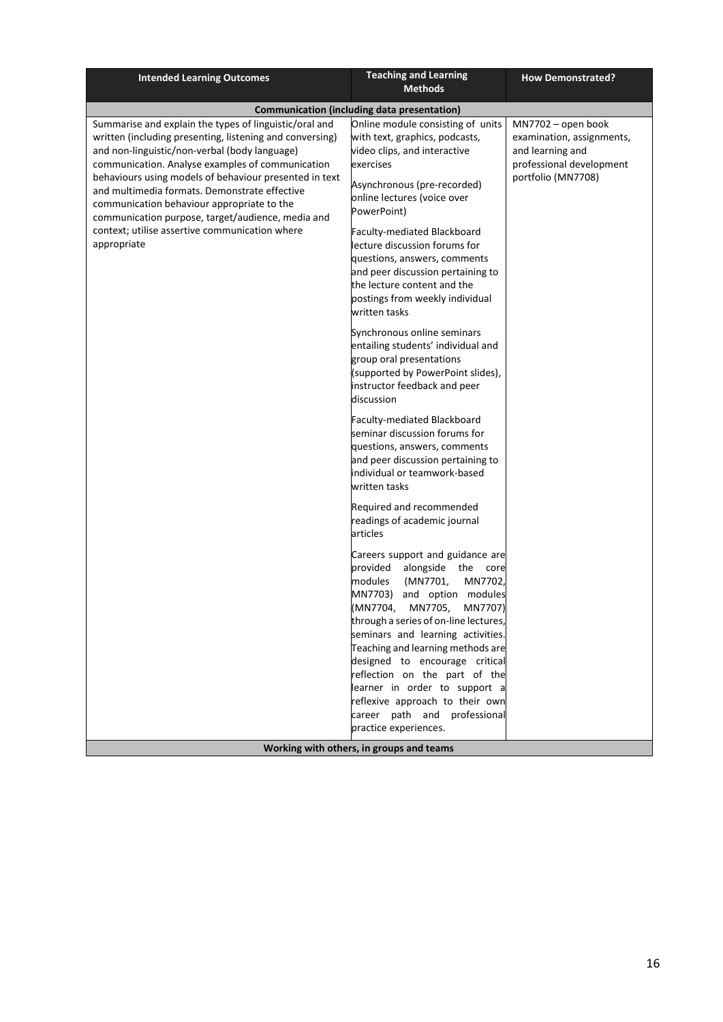| <b>Intended Learning Outcomes</b>                                                                                                                                                                                                                                                                                                                                                                                                                                                                      | <b>Teaching and Learning</b><br><b>Methods</b>                                                                                                                                                                                                                                                                                                                                                                                                                                                                                                                     | <b>How Demonstrated?</b>                                                                                              |
|--------------------------------------------------------------------------------------------------------------------------------------------------------------------------------------------------------------------------------------------------------------------------------------------------------------------------------------------------------------------------------------------------------------------------------------------------------------------------------------------------------|--------------------------------------------------------------------------------------------------------------------------------------------------------------------------------------------------------------------------------------------------------------------------------------------------------------------------------------------------------------------------------------------------------------------------------------------------------------------------------------------------------------------------------------------------------------------|-----------------------------------------------------------------------------------------------------------------------|
|                                                                                                                                                                                                                                                                                                                                                                                                                                                                                                        | <b>Communication (including data presentation)</b>                                                                                                                                                                                                                                                                                                                                                                                                                                                                                                                 |                                                                                                                       |
| Summarise and explain the types of linguistic/oral and<br>written (including presenting, listening and conversing)<br>and non-linguistic/non-verbal (body language)<br>communication. Analyse examples of communication<br>behaviours using models of behaviour presented in text<br>and multimedia formats. Demonstrate effective<br>communication behaviour appropriate to the<br>communication purpose, target/audience, media and<br>context; utilise assertive communication where<br>appropriate | Online module consisting of units<br>with text, graphics, podcasts,<br>video clips, and interactive<br>exercises<br>Asynchronous (pre-recorded)<br>online lectures (voice over<br>PowerPoint)<br>Faculty-mediated Blackboard<br>lecture discussion forums for<br>questions, answers, comments<br>and peer discussion pertaining to<br>the lecture content and the<br>postings from weekly individual<br>written tasks                                                                                                                                              | MN7702 - open book<br>examination, assignments,<br>and learning and<br>professional development<br>portfolio (MN7708) |
|                                                                                                                                                                                                                                                                                                                                                                                                                                                                                                        | Synchronous online seminars<br>entailing students' individual and<br>group oral presentations<br>(supported by PowerPoint slides),<br>instructor feedback and peer<br>discussion<br>Faculty-mediated Blackboard<br>seminar discussion forums for<br>questions, answers, comments<br>and peer discussion pertaining to<br>individual or teamwork-based<br>written tasks                                                                                                                                                                                             |                                                                                                                       |
|                                                                                                                                                                                                                                                                                                                                                                                                                                                                                                        | Required and recommended<br>readings of academic journal<br>articles<br>Careers support and guidance are<br>provided<br>alongside the core<br>MN7702,<br>modules<br>(MN7701,<br>MN7703)<br>and option modules<br>(MN7704,<br>MN7705,<br>MN7707)<br>through a series of on-line lectures,<br>seminars and learning activities.<br>Teaching and learning methods are<br>designed to encourage critical<br>reflection on the part of the<br>learner in order to support a<br>reflexive approach to their own<br>career path and professional<br>practice experiences. |                                                                                                                       |
|                                                                                                                                                                                                                                                                                                                                                                                                                                                                                                        | Working with others, in groups and teams                                                                                                                                                                                                                                                                                                                                                                                                                                                                                                                           |                                                                                                                       |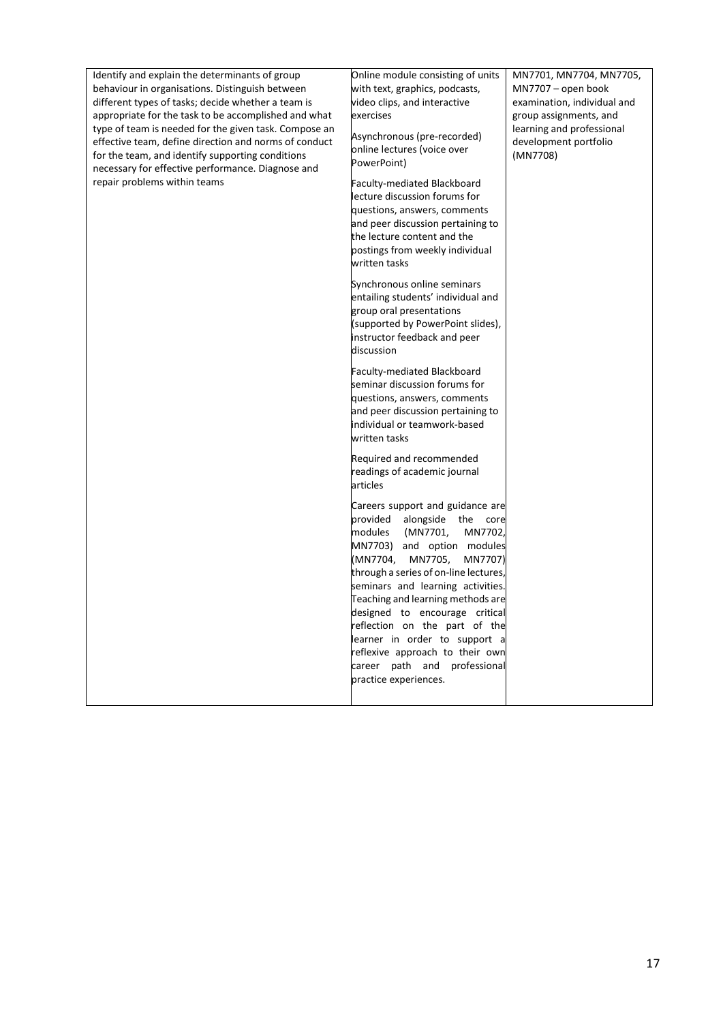| Identify and explain the determinants of group<br>behaviour in organisations. Distinguish between<br>different types of tasks; decide whether a team is<br>appropriate for the task to be accomplished and what<br>type of team is needed for the given task. Compose an<br>effective team, define direction and norms of conduct<br>for the team, and identify supporting conditions<br>necessary for effective performance. Diagnose and<br>repair problems within teams | Online module consisting of units<br>with text, graphics, podcasts,<br>video clips, and interactive<br>exercises<br>Asynchronous (pre-recorded)<br>online lectures (voice over<br>PowerPoint)<br>Faculty-mediated Blackboard<br>lecture discussion forums for<br>questions, answers, comments<br>and peer discussion pertaining to<br>the lecture content and the                                                                                                                          | MN7701, MN7704, MN7705,<br>MN7707 - open book<br>examination, individual and<br>group assignments, and<br>learning and professional<br>development portfolio<br>(MN7708) |
|----------------------------------------------------------------------------------------------------------------------------------------------------------------------------------------------------------------------------------------------------------------------------------------------------------------------------------------------------------------------------------------------------------------------------------------------------------------------------|--------------------------------------------------------------------------------------------------------------------------------------------------------------------------------------------------------------------------------------------------------------------------------------------------------------------------------------------------------------------------------------------------------------------------------------------------------------------------------------------|--------------------------------------------------------------------------------------------------------------------------------------------------------------------------|
|                                                                                                                                                                                                                                                                                                                                                                                                                                                                            | postings from weekly individual<br>written tasks<br>Synchronous online seminars<br>entailing students' individual and<br>group oral presentations<br>(supported by PowerPoint slides),<br>instructor feedback and peer<br>discussion                                                                                                                                                                                                                                                       |                                                                                                                                                                          |
|                                                                                                                                                                                                                                                                                                                                                                                                                                                                            | Faculty-mediated Blackboard<br>seminar discussion forums for<br>questions, answers, comments<br>and peer discussion pertaining to<br>individual or teamwork-based<br>written tasks                                                                                                                                                                                                                                                                                                         |                                                                                                                                                                          |
|                                                                                                                                                                                                                                                                                                                                                                                                                                                                            | Required and recommended<br>readings of academic journal<br>articles                                                                                                                                                                                                                                                                                                                                                                                                                       |                                                                                                                                                                          |
|                                                                                                                                                                                                                                                                                                                                                                                                                                                                            | Careers support and guidance are<br>provided<br>alongside the core<br>modules<br>(MN7701,<br>MN7702,<br>MN7703)<br>and option modules<br>(MN7704,<br>MN7705,<br>MN7707)<br>through a series of on-line lectures,<br>seminars and learning activities.<br>Teaching and learning methods are<br>designed to encourage critical<br>reflection on the part of the<br>learner in order to support a<br>reflexive approach to their own<br>career path and professional<br>practice experiences. |                                                                                                                                                                          |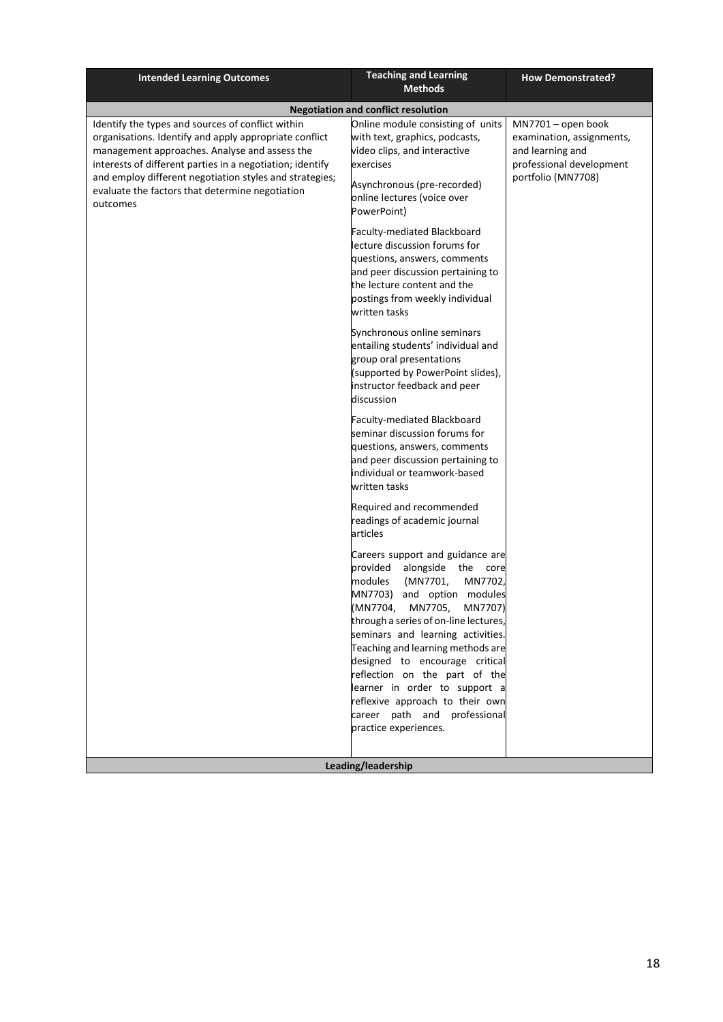| <b>Intended Learning Outcomes</b>                                                                                                                                                                                                                                                                                                                   | <b>Teaching and Learning</b><br><b>Methods</b>                                                                                                                                                                                                                                                                                                                                                                                                                                             | <b>How Demonstrated?</b>                                                                                              |
|-----------------------------------------------------------------------------------------------------------------------------------------------------------------------------------------------------------------------------------------------------------------------------------------------------------------------------------------------------|--------------------------------------------------------------------------------------------------------------------------------------------------------------------------------------------------------------------------------------------------------------------------------------------------------------------------------------------------------------------------------------------------------------------------------------------------------------------------------------------|-----------------------------------------------------------------------------------------------------------------------|
|                                                                                                                                                                                                                                                                                                                                                     | <b>Negotiation and conflict resolution</b>                                                                                                                                                                                                                                                                                                                                                                                                                                                 |                                                                                                                       |
| Identify the types and sources of conflict within<br>organisations. Identify and apply appropriate conflict<br>management approaches. Analyse and assess the<br>interests of different parties in a negotiation; identify<br>and employ different negotiation styles and strategies;<br>evaluate the factors that determine negotiation<br>outcomes | Online module consisting of units<br>with text, graphics, podcasts,<br>video clips, and interactive<br>exercises<br>Asynchronous (pre-recorded)<br>online lectures (voice over<br>PowerPoint)                                                                                                                                                                                                                                                                                              | MN7701 - open book<br>examination, assignments,<br>and learning and<br>professional development<br>portfolio (MN7708) |
|                                                                                                                                                                                                                                                                                                                                                     | Faculty-mediated Blackboard<br>lecture discussion forums for<br>questions, answers, comments<br>and peer discussion pertaining to<br>the lecture content and the<br>postings from weekly individual<br>written tasks                                                                                                                                                                                                                                                                       |                                                                                                                       |
|                                                                                                                                                                                                                                                                                                                                                     | Synchronous online seminars<br>entailing students' individual and<br>group oral presentations<br>(supported by PowerPoint slides),<br>instructor feedback and peer<br>discussion                                                                                                                                                                                                                                                                                                           |                                                                                                                       |
|                                                                                                                                                                                                                                                                                                                                                     | Faculty-mediated Blackboard<br>seminar discussion forums for<br>questions, answers, comments<br>and peer discussion pertaining to<br>individual or teamwork-based<br>written tasks                                                                                                                                                                                                                                                                                                         |                                                                                                                       |
|                                                                                                                                                                                                                                                                                                                                                     | Required and recommended<br>readings of academic journal<br>articles                                                                                                                                                                                                                                                                                                                                                                                                                       |                                                                                                                       |
|                                                                                                                                                                                                                                                                                                                                                     | Careers support and guidance are<br>alongside the core<br>provided<br>(MN7701,<br>MN7702,<br>modules<br>MN7703)<br>and option modules<br>(MN7704,<br>MN7705,<br>MN7707)<br>through a series of on-line lectures,<br>seminars and learning activities.<br>Teaching and learning methods are<br>designed to encourage critical<br>reflection on the part of the<br>learner in order to support a<br>reflexive approach to their own<br>career path and professional<br>practice experiences. |                                                                                                                       |
|                                                                                                                                                                                                                                                                                                                                                     | Leading/leadership                                                                                                                                                                                                                                                                                                                                                                                                                                                                         |                                                                                                                       |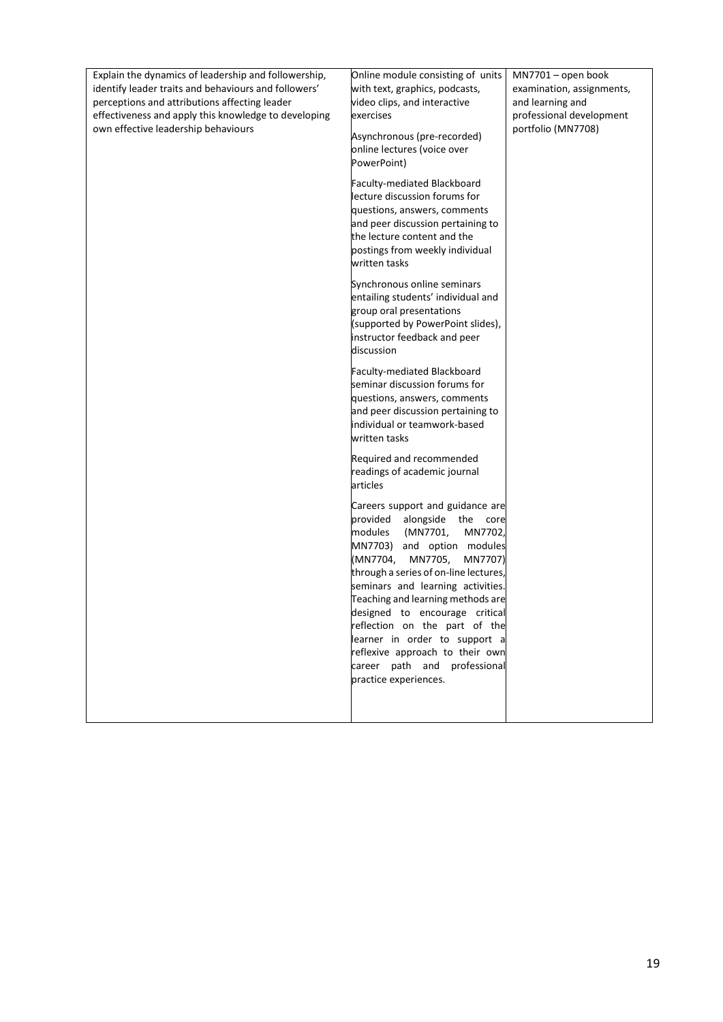| Explain the dynamics of leadership and followership,<br>identify leader traits and behaviours and followers'<br>perceptions and attributions affecting leader<br>effectiveness and apply this knowledge to developing<br>own effective leadership behaviours | Online module consisting of units<br>with text, graphics, podcasts,<br>video clips, and interactive<br>exercises<br>Asynchronous (pre-recorded)<br>online lectures (voice over<br>PowerPoint)<br>Faculty-mediated Blackboard<br>lecture discussion forums for<br>questions, answers, comments<br>and peer discussion pertaining to<br>the lecture content and the<br>postings from weekly individual<br>written tasks<br>Synchronous online seminars<br>entailing students' individual and<br>group oral presentations<br>(supported by PowerPoint slides),<br>instructor feedback and peer<br>discussion<br>Faculty-mediated Blackboard<br>seminar discussion forums for<br>questions, answers, comments<br>and peer discussion pertaining to<br>individual or teamwork-based | MN7701 - open book<br>examination, assignments,<br>and learning and<br>professional development<br>portfolio (MN7708) |
|--------------------------------------------------------------------------------------------------------------------------------------------------------------------------------------------------------------------------------------------------------------|--------------------------------------------------------------------------------------------------------------------------------------------------------------------------------------------------------------------------------------------------------------------------------------------------------------------------------------------------------------------------------------------------------------------------------------------------------------------------------------------------------------------------------------------------------------------------------------------------------------------------------------------------------------------------------------------------------------------------------------------------------------------------------|-----------------------------------------------------------------------------------------------------------------------|
|                                                                                                                                                                                                                                                              | written tasks<br>Required and recommended<br>readings of academic journal<br>articles<br>Careers support and guidance are<br>provided alongside the<br>core<br>modules<br>(MN7701,<br>MN7702,<br>MN7703) and option modules<br>(MN7704,<br>MN7705,<br>MN7707)<br>through a series of on-line lectures,<br>seminars and learning activities.<br>Teaching and learning methods are<br>designed to encourage critical<br>reflection on the part of the<br>learner in order to support a<br>reflexive approach to their own<br>career path and professional<br>practice experiences.                                                                                                                                                                                               |                                                                                                                       |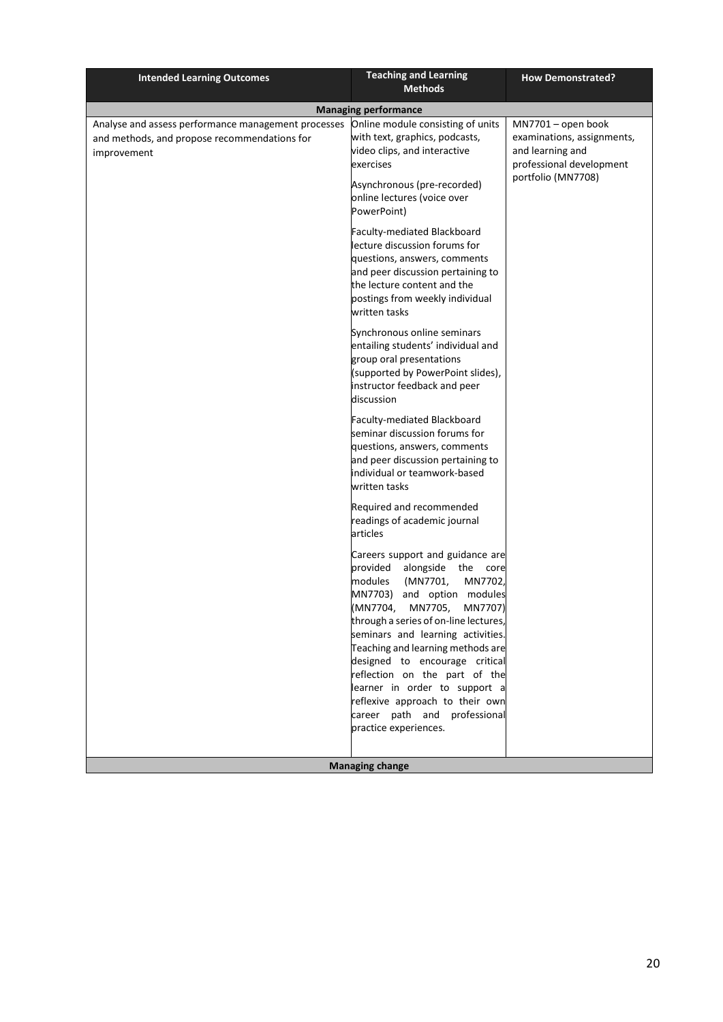| <b>Intended Learning Outcomes</b>                                                                                  | <b>Teaching and Learning</b><br><b>Methods</b>                                                                                                                                                                                                                                                                                                                                                                                                                                             | <b>How Demonstrated?</b>                                                                                               |
|--------------------------------------------------------------------------------------------------------------------|--------------------------------------------------------------------------------------------------------------------------------------------------------------------------------------------------------------------------------------------------------------------------------------------------------------------------------------------------------------------------------------------------------------------------------------------------------------------------------------------|------------------------------------------------------------------------------------------------------------------------|
|                                                                                                                    | <b>Managing performance</b>                                                                                                                                                                                                                                                                                                                                                                                                                                                                |                                                                                                                        |
| Analyse and assess performance management processes<br>and methods, and propose recommendations for<br>improvement | Online module consisting of units<br>with text, graphics, podcasts,<br>video clips, and interactive<br>exercises<br>Asynchronous (pre-recorded)<br>online lectures (voice over<br>PowerPoint)                                                                                                                                                                                                                                                                                              | MN7701 - open book<br>examinations, assignments,<br>and learning and<br>professional development<br>portfolio (MN7708) |
|                                                                                                                    | Faculty-mediated Blackboard<br>lecture discussion forums for<br>questions, answers, comments<br>and peer discussion pertaining to<br>the lecture content and the<br>postings from weekly individual<br>written tasks                                                                                                                                                                                                                                                                       |                                                                                                                        |
|                                                                                                                    | Synchronous online seminars<br>entailing students' individual and<br>group oral presentations<br>(supported by PowerPoint slides),<br>instructor feedback and peer<br>discussion                                                                                                                                                                                                                                                                                                           |                                                                                                                        |
|                                                                                                                    | Faculty-mediated Blackboard<br>seminar discussion forums for<br>questions, answers, comments<br>and peer discussion pertaining to<br>individual or teamwork-based<br>written tasks                                                                                                                                                                                                                                                                                                         |                                                                                                                        |
|                                                                                                                    | Required and recommended<br>readings of academic journal<br>articles                                                                                                                                                                                                                                                                                                                                                                                                                       |                                                                                                                        |
|                                                                                                                    | Careers support and guidance are<br>alongside the core<br>provided<br>MN7702,<br>modules<br>(MN7701,<br>MN7703)<br>and option modules<br>(MN7704,<br>MN7705,<br>MN7707)<br>through a series of on-line lectures,<br>seminars and learning activities.<br>Teaching and learning methods are<br>designed to encourage critical<br>reflection on the part of the<br>learner in order to support a<br>reflexive approach to their own<br>career path and professional<br>practice experiences. |                                                                                                                        |
|                                                                                                                    | <b>Managing change</b>                                                                                                                                                                                                                                                                                                                                                                                                                                                                     |                                                                                                                        |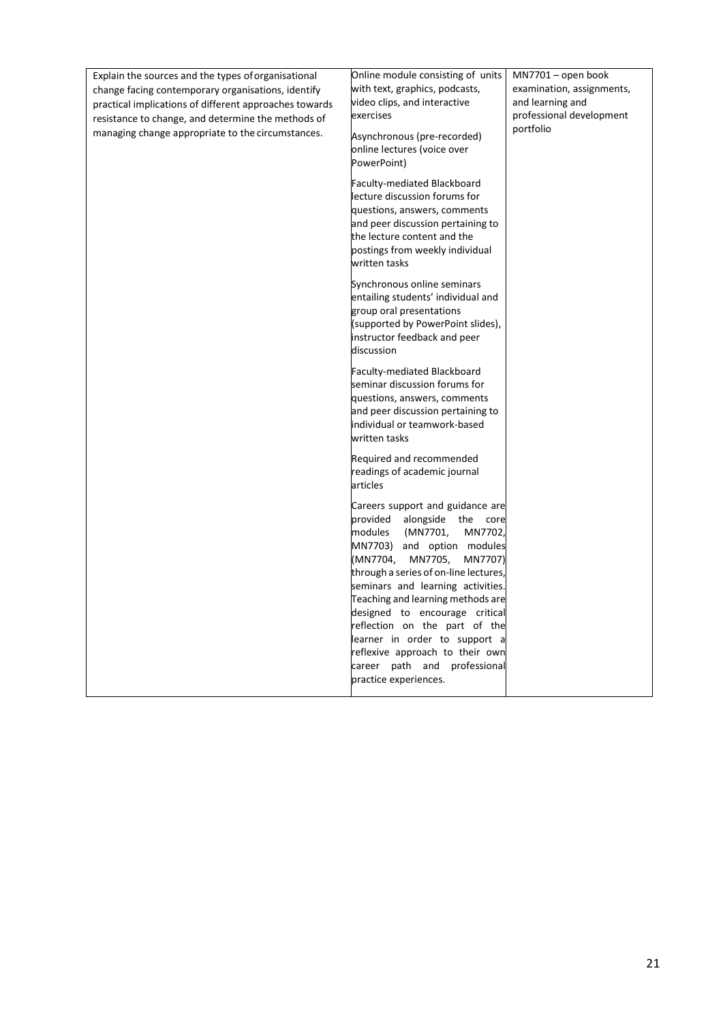| Explain the sources and the types of organisational<br>change facing contemporary organisations, identify<br>practical implications of different approaches towards | Online module consisting of units<br>with text, graphics, podcasts,<br>video clips, and interactive                                                                                                                                                                                                                                                                                                                                                         | $MN7701$ – open book<br>examination, assignments,<br>and learning and |
|---------------------------------------------------------------------------------------------------------------------------------------------------------------------|-------------------------------------------------------------------------------------------------------------------------------------------------------------------------------------------------------------------------------------------------------------------------------------------------------------------------------------------------------------------------------------------------------------------------------------------------------------|-----------------------------------------------------------------------|
| resistance to change, and determine the methods of                                                                                                                  | exercises                                                                                                                                                                                                                                                                                                                                                                                                                                                   | professional development                                              |
| managing change appropriate to the circumstances.                                                                                                                   | Asynchronous (pre-recorded)<br>online lectures (voice over<br>PowerPoint)                                                                                                                                                                                                                                                                                                                                                                                   | portfolio                                                             |
|                                                                                                                                                                     | <b>Faculty-mediated Blackboard</b><br>lecture discussion forums for<br>questions, answers, comments<br>and peer discussion pertaining to<br>the lecture content and the<br>postings from weekly individual<br>written tasks                                                                                                                                                                                                                                 |                                                                       |
|                                                                                                                                                                     | Synchronous online seminars<br>entailing students' individual and<br>group oral presentations<br>(supported by PowerPoint slides),<br>instructor feedback and peer<br>discussion                                                                                                                                                                                                                                                                            |                                                                       |
|                                                                                                                                                                     | Faculty-mediated Blackboard<br>seminar discussion forums for<br>questions, answers, comments<br>and peer discussion pertaining to<br>individual or teamwork-based<br>written tasks                                                                                                                                                                                                                                                                          |                                                                       |
|                                                                                                                                                                     | Required and recommended<br>readings of academic journal<br>articles                                                                                                                                                                                                                                                                                                                                                                                        |                                                                       |
|                                                                                                                                                                     | Careers support and guidance are<br>provided alongside the core<br>modules<br>(MN7701,<br>MN7702,<br>MN7703) and option modules<br>(MN7704,<br>MN7705,<br>MN7707)<br>through a series of on-line lectures,<br>seminars and learning activities.<br>Teaching and learning methods are<br>designed to encourage critical<br>reflection on the part of the<br>learner in order to support a<br>reflexive approach to their own<br>career path and professional |                                                                       |
|                                                                                                                                                                     | practice experiences.                                                                                                                                                                                                                                                                                                                                                                                                                                       |                                                                       |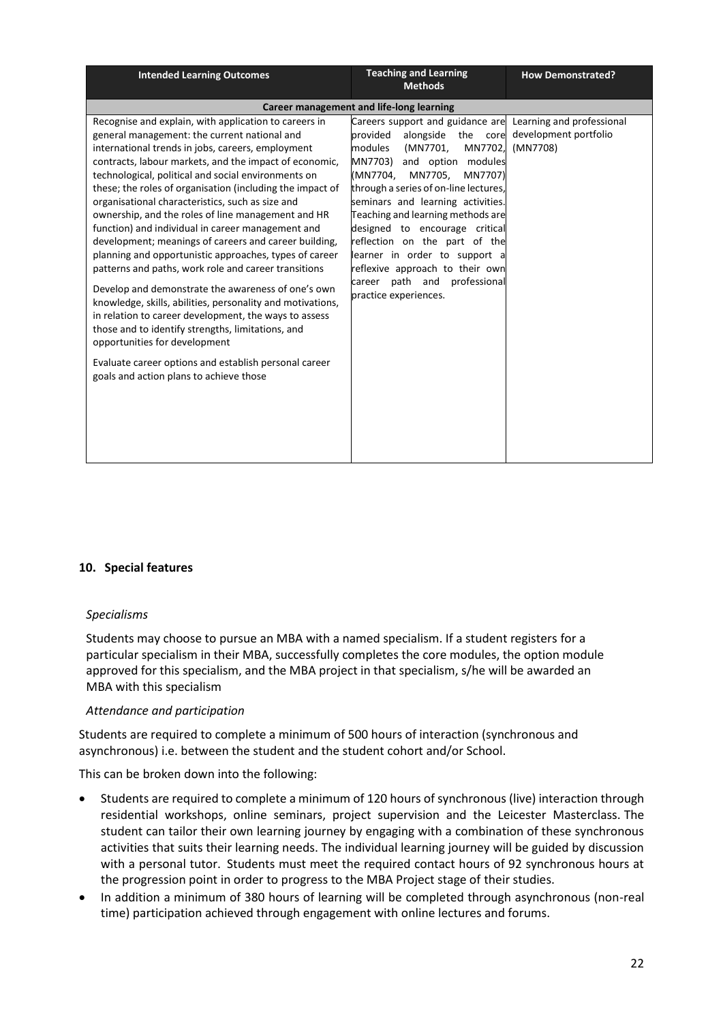| <b>Intended Learning Outcomes</b>                                                                                                                                                                                                                                                                                                                                                                                                                                                                                                                                                                                                                                                                                                                                                                                                                                                                                                                                                                                                                         | <b>Teaching and Learning</b><br><b>Methods</b>                                                                                                                                                                                                                                                                                                                                                                                                                                                                          | <b>How Demonstrated?</b>          |
|-----------------------------------------------------------------------------------------------------------------------------------------------------------------------------------------------------------------------------------------------------------------------------------------------------------------------------------------------------------------------------------------------------------------------------------------------------------------------------------------------------------------------------------------------------------------------------------------------------------------------------------------------------------------------------------------------------------------------------------------------------------------------------------------------------------------------------------------------------------------------------------------------------------------------------------------------------------------------------------------------------------------------------------------------------------|-------------------------------------------------------------------------------------------------------------------------------------------------------------------------------------------------------------------------------------------------------------------------------------------------------------------------------------------------------------------------------------------------------------------------------------------------------------------------------------------------------------------------|-----------------------------------|
|                                                                                                                                                                                                                                                                                                                                                                                                                                                                                                                                                                                                                                                                                                                                                                                                                                                                                                                                                                                                                                                           | Career management and life-long learning                                                                                                                                                                                                                                                                                                                                                                                                                                                                                |                                   |
| Recognise and explain, with application to careers in<br>general management: the current national and<br>international trends in jobs, careers, employment<br>contracts, labour markets, and the impact of economic,<br>technological, political and social environments on<br>these; the roles of organisation (including the impact of<br>organisational characteristics, such as size and<br>ownership, and the roles of line management and HR<br>function) and individual in career management and<br>development; meanings of careers and career building,<br>planning and opportunistic approaches, types of career<br>patterns and paths, work role and career transitions<br>Develop and demonstrate the awareness of one's own<br>knowledge, skills, abilities, personality and motivations,<br>in relation to career development, the ways to assess<br>those and to identify strengths, limitations, and<br>opportunities for development<br>Evaluate career options and establish personal career<br>goals and action plans to achieve those | Careers support and guidance are Learning and professional<br>provided<br>alongside the core<br>MN7702,<br>modules<br>(MN7701,<br>MN7703)<br>and option modules<br>(MN7704,<br>MN7705,<br>MN7707)<br>through a series of on-line lectures,<br>seminars and learning activities.<br>Teaching and learning methods are<br>designed to encourage critical<br>reflection on the part of the<br>learner in order to support a<br>reflexive approach to their own<br>path and professional<br>career<br>practice experiences. | development portfolio<br>(MN7708) |

#### **10. Special features**

#### *Specialisms*

Students may choose to pursue an MBA with a named specialism. If a student registers for a particular specialism in their MBA, successfully completes the core modules, the option module approved for this specialism, and the MBA project in that specialism, s/he will be awarded an MBA with this specialism

#### *Attendance and participation*

Students are required to complete a minimum of 500 hours of interaction (synchronous and asynchronous) i.e. between the student and the student cohort and/or School.

This can be broken down into the following:

- Students are required to complete a minimum of 120 hours of synchronous (live) interaction through residential workshops, online seminars, project supervision and the Leicester Masterclass. The student can tailor their own learning journey by engaging with a combination of these synchronous activities that suits their learning needs. The individual learning journey will be guided by discussion with a personal tutor. Students must meet the required contact hours of 92 synchronous hours at the progression point in order to progress to the MBA Project stage of their studies.
- In addition a minimum of 380 hours of learning will be completed through asynchronous (non-real time) participation achieved through engagement with online lectures and forums.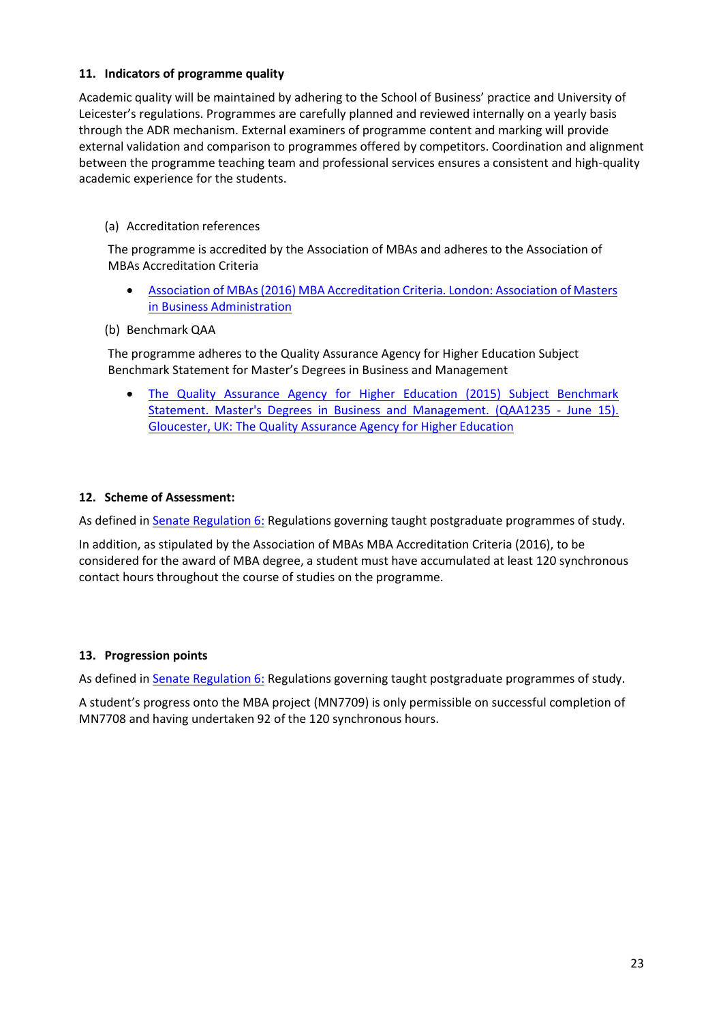## **11. Indicators of programme quality**

Academic quality will be maintained by adhering to the School of Business' practice and University of Leicester's regulations. Programmes are carefully planned and reviewed internally on a yearly basis through the ADR mechanism. External examiners of programme content and marking will provide external validation and comparison to programmes offered by competitors. Coordination and alignment between the programme teaching team and professional services ensures a consistent and high-quality academic experience for the students.

### (a) Accreditation references

The programme is accredited by the Association of MBAs and adheres to the Association of MBAs Accreditation Criteria

- [Association of MBAs \(2016\) MBA Accreditation Criteria. London: Association of Masters](http://www.mbaworld.com/~/media/Files/Accreditation/MBA-criteria-for-accreditation.ashx)  [in B](http://www.mbaworld.com/~/media/Files/Accreditation/MBA-criteria-for-accreditation.ashx)usiness [Administration](http://www.mbaworld.com/~/media/Files/Accreditation/MBA-criteria-for-accreditation.ashx)
- (b) Benchmark QAA

The programme adheres to the Quality Assurance Agency for Higher Education Subject Benchmark Statement for Master's Degrees in Business and Management

 The Quality Assurance Agency for Higher Education (2015) Subject Benchmark Statement. Master's Degrees in Business and Management. (QAA1235 - June 15). Gloucester, UK: The [Quality Assurance Agency for Higher](http://www.qaa.ac.uk/en/Publications/Documents/SBS-Business-and%20Management-15.pdf) Education

### **12. Scheme of Assessment:**

As defined i[n Senate Regulation 6:](http://www.le.ac.uk/senate-regulation6) Regulations governing taught postgraduate programmes of study.

In addition, as stipulated by the Association of MBAs MBA Accreditation Criteria (2016), to be considered for the award of MBA degree, a student must have accumulated at least 120 synchronous contact hours throughout the course of studies on the programme.

#### **13. Progression points**

As defined i[n Senate Regulation 6:](http://www.le.ac.uk/senate-regulation6) Regulations governing taught postgraduate programmes of study.

A student's progress onto the MBA project (MN7709) is only permissible on successful completion of MN7708 and having undertaken 92 of the 120 synchronous hours.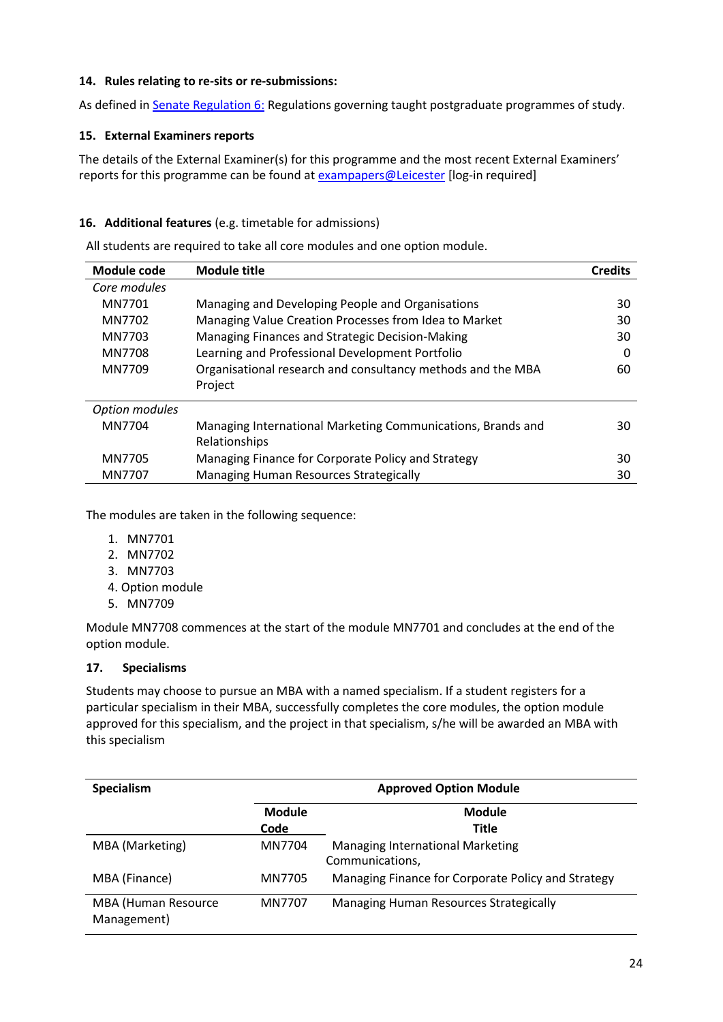## **14. Rules relating to re-sits or re-submissions:**

As defined i[n Senate Regulation 6:](http://www.le.ac.uk/senate-regulation6) Regulations governing taught postgraduate programmes of study.

### **15. External Examiners reports**

The details of the External Examiner(s) for this programme and the most recent External Examiners' reports for this programme can be found at **exampapers@Leicester** [log-in required]

## **16. Additional features** (e.g. timetable for admissions)

All students are required to take all core modules and one option module.

| Module code    | <b>Module title</b>                                         | <b>Credits</b> |
|----------------|-------------------------------------------------------------|----------------|
| Core modules   |                                                             |                |
| MN7701         | Managing and Developing People and Organisations            | 30             |
| MN7702         | Managing Value Creation Processes from Idea to Market       | 30             |
| MN7703         | Managing Finances and Strategic Decision-Making             | 30             |
| MN7708         | Learning and Professional Development Portfolio             | O              |
| MN7709         | Organisational research and consultancy methods and the MBA | 60             |
|                | Project                                                     |                |
| Option modules |                                                             |                |
| MN7704         | Managing International Marketing Communications, Brands and | 30             |
|                | Relationships                                               |                |
| MN7705         | Managing Finance for Corporate Policy and Strategy          | 30             |
| MN7707         | Managing Human Resources Strategically                      | 30             |

The modules are taken in the following sequence:

- 1. MN7701
- 2. MN7702
- 3. MN7703
- 4. Option module
- 5. MN7709

Module MN7708 commences at the start of the module MN7701 and concludes at the end of the option module.

## **17. Specialisms**

Students may choose to pursue an MBA with a named specialism. If a student registers for a particular specialism in their MBA, successfully completes the core modules, the option module approved for this specialism, and the project in that specialism, s/he will be awarded an MBA with this specialism

| Specialism                         | <b>Approved Option Module</b> |                                                            |
|------------------------------------|-------------------------------|------------------------------------------------------------|
|                                    | <b>Module</b><br>Code         | Module<br>Title                                            |
| MBA (Marketing)                    | MN7704                        | <b>Managing International Marketing</b><br>Communications, |
| MBA (Finance)                      | MN7705                        | Managing Finance for Corporate Policy and Strategy         |
| MBA (Human Resource<br>Management) | MN7707                        | Managing Human Resources Strategically                     |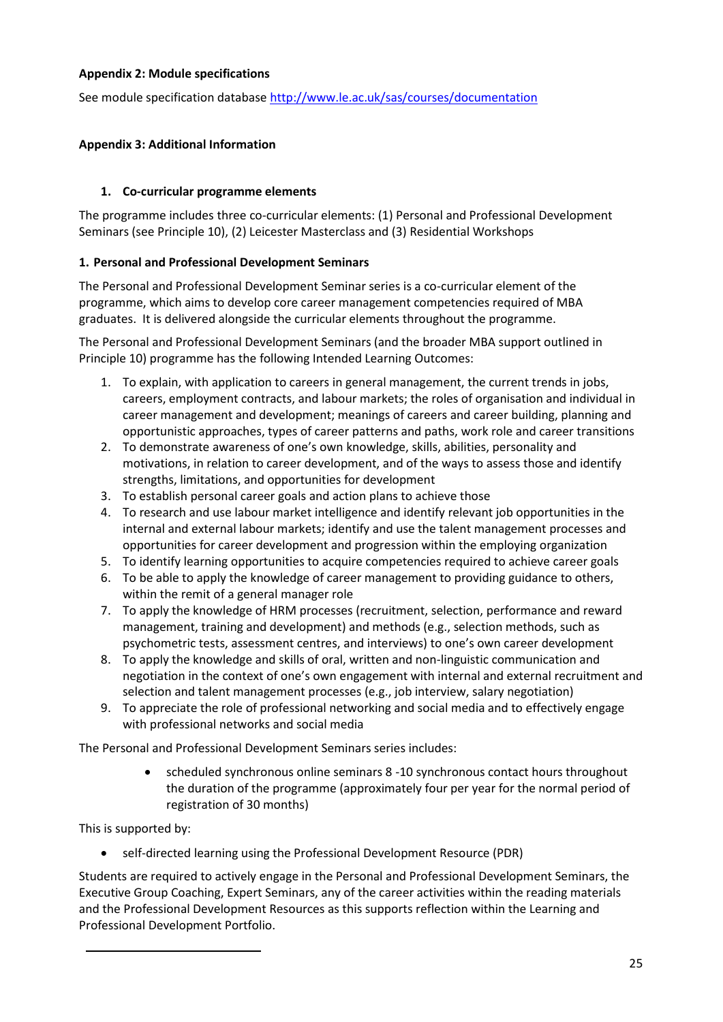## **Appendix 2: Module specifications**

See module specification database <http://www.le.ac.uk/sas/courses/documentation>

## **Appendix 3: Additional Information**

## **1. Co-curricular programme elements**

The programme includes three co-curricular elements: (1) Personal and Professional Development Seminars (see Principle 10), (2) Leicester Masterclass and (3) Residential Workshops

## **1. Personal and Professional Development Seminars**

The Personal and Professional Development Seminar series is a co-curricular element of the programme, which aims to develop core career management competencies required of MBA graduates. It is delivered alongside the curricular elements throughout the programme.

The Personal and Professional Development Seminars (and the broader MBA support outlined in Principle 10) programme has the following Intended Learning Outcomes:

- 1. To explain, with application to careers in general management, the current trends in jobs, careers, employment contracts, and labour markets; the roles of organisation and individual in career management and development; meanings of careers and career building, planning and opportunistic approaches, types of career patterns and paths, work role and career transitions
- 2. To demonstrate awareness of one's own knowledge, skills, abilities, personality and motivations, in relation to career development, and of the ways to assess those and identify strengths, limitations, and opportunities for development
- 3. To establish personal career goals and action plans to achieve those
- 4. To research and use labour market intelligence and identify relevant job opportunities in the internal and external labour markets; identify and use the talent management processes and opportunities for career development and progression within the employing organization
- 5. To identify learning opportunities to acquire competencies required to achieve career goals
- 6. To be able to apply the knowledge of career management to providing guidance to others, within the remit of a general manager role
- 7. To apply the knowledge of HRM processes (recruitment, selection, performance and reward management, training and development) and methods (e.g., selection methods, such as psychometric tests, assessment centres, and interviews) to one's own career development
- 8. To apply the knowledge and skills of oral, written and non-linguistic communication and negotiation in the context of one's own engagement with internal and external recruitment and selection and talent management processes (e.g., job interview, salary negotiation)
- 9. To appreciate the role of professional networking and social media and to effectively engage with professional networks and social media

The Personal and Professional Development Seminars series includes:

 scheduled synchronous online seminars 8 -10 synchronous contact hours throughout the duration of the programme (approximately four per year for the normal period of registration of 30 months)

This is supported by:

self-directed learning using the Professional Development Resource (PDR)

Students are required to actively engage in the Personal and Professional Development Seminars, the Executive Group Coaching, Expert Seminars, any of the career activities within the reading materials and the Professional Development Resources as this supports reflection within the Learning and Professional Development Portfolio.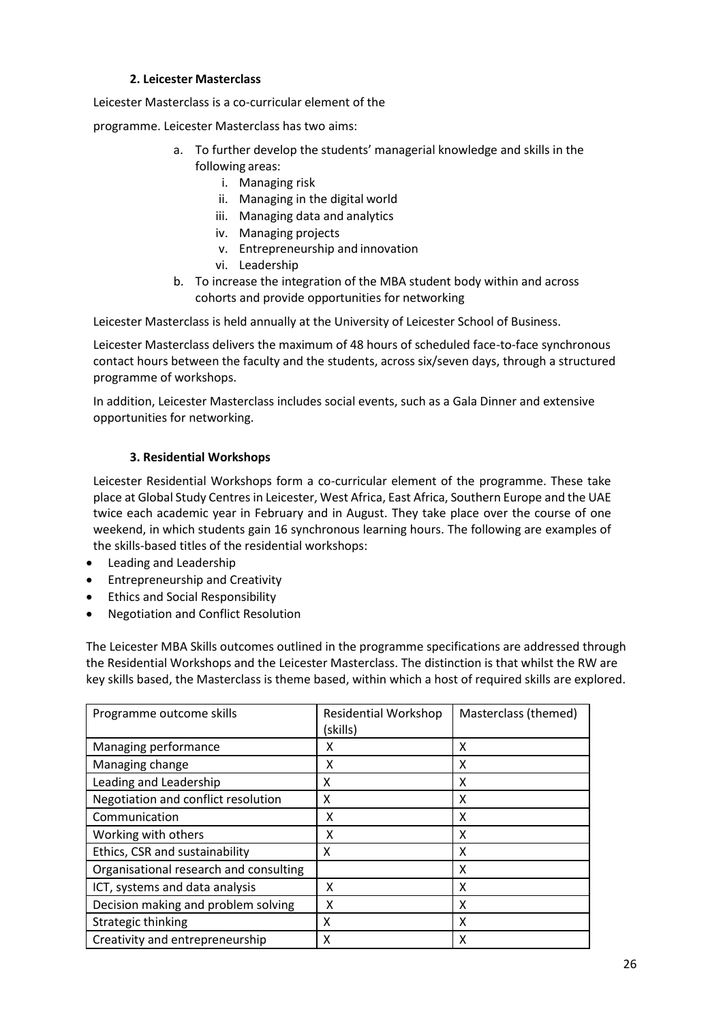## **2. Leicester Masterclass**

Leicester Masterclass is a co-curricular element of the

programme. Leicester Masterclass has two aims:

- a. To further develop the students' managerial knowledge and skills in the following areas:
	- i. Managing risk
	- ii. Managing in the digital world
	- iii. Managing data and analytics
	- iv. Managing projects
	- v. Entrepreneurship and innovation
	- vi. Leadership
- b. To increase the integration of the MBA student body within and across cohorts and provide opportunities for networking

Leicester Masterclass is held annually at the University of Leicester School of Business.

Leicester Masterclass delivers the maximum of 48 hours of scheduled face-to-face synchronous contact hours between the faculty and the students, across six/seven days, through a structured programme of workshops.

In addition, Leicester Masterclass includes social events, such as a Gala Dinner and extensive opportunities for networking.

### **3. Residential Workshops**

Leicester Residential Workshops form a co-curricular element of the programme. These take place at Global Study Centres in Leicester, West Africa, East Africa, Southern Europe and the UAE twice each academic year in February and in August. They take place over the course of one weekend, in which students gain 16 synchronous learning hours. The following are examples of the skills-based titles of the residential workshops:

- Leading and Leadership
- Entrepreneurship and Creativity
- Ethics and Social Responsibility
- Negotiation and Conflict Resolution

The Leicester MBA Skills outcomes outlined in the programme specifications are addressed through the Residential Workshops and the Leicester Masterclass. The distinction is that whilst the RW are key skills based, the Masterclass is theme based, within which a host of required skills are explored.

| Programme outcome skills               | <b>Residential Workshop</b><br>(skills) | Masterclass (themed) |
|----------------------------------------|-----------------------------------------|----------------------|
| Managing performance                   | x                                       | x                    |
| Managing change                        | χ                                       | Χ                    |
| Leading and Leadership                 | x                                       | X                    |
| Negotiation and conflict resolution    | x                                       | x                    |
| Communication                          | χ                                       | χ                    |
| Working with others                    | x                                       | x                    |
| Ethics, CSR and sustainability         | x                                       | x                    |
| Organisational research and consulting |                                         | χ                    |
| ICT, systems and data analysis         | χ                                       | X                    |
| Decision making and problem solving    | x                                       | χ                    |
| Strategic thinking                     | χ                                       | χ                    |
| Creativity and entrepreneurship        | Χ                                       | Χ                    |